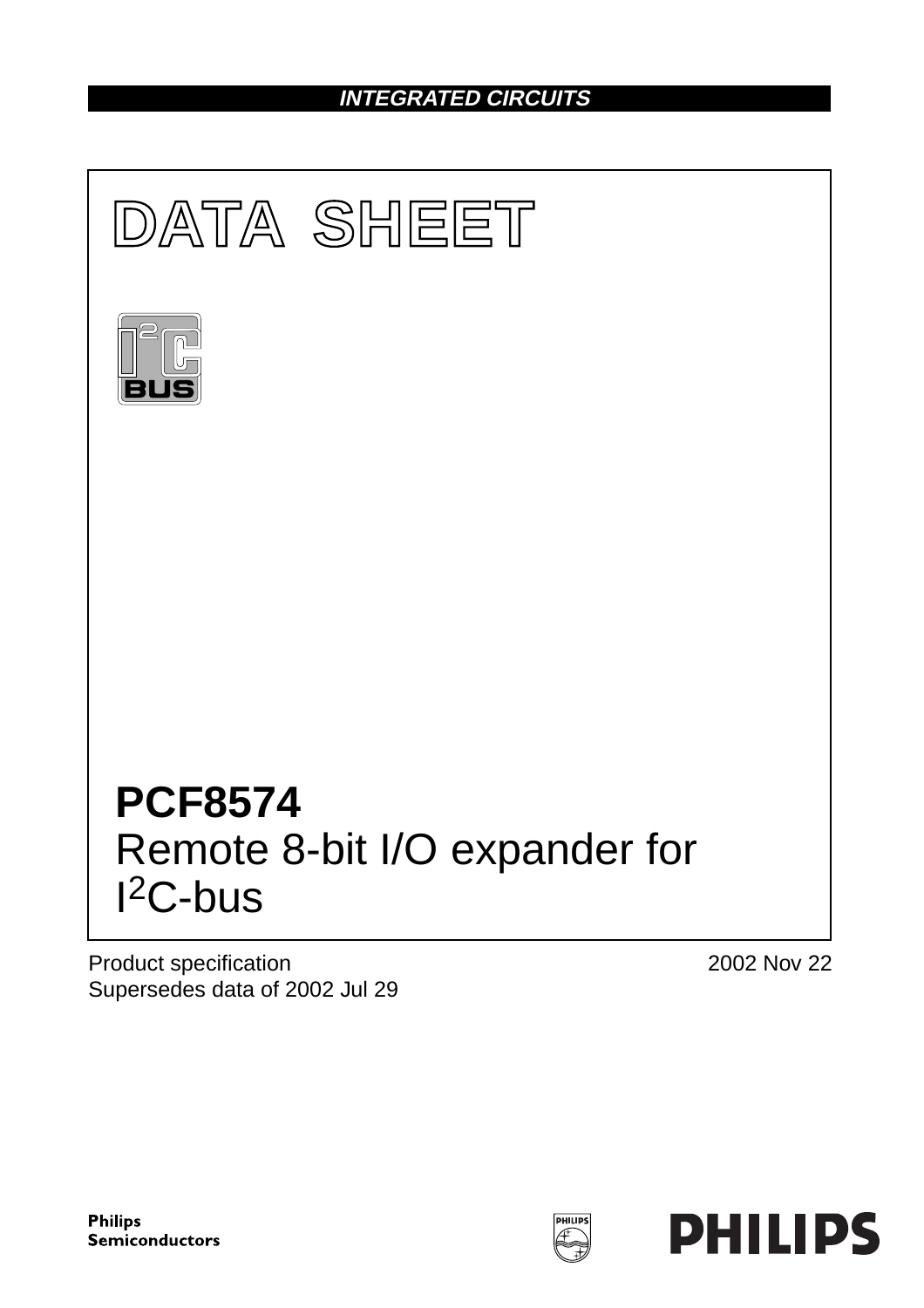# **INTEGRATED CIRCUITS**



Product specification Supersedes data of 2002 Jul 29 2002 Nov 22

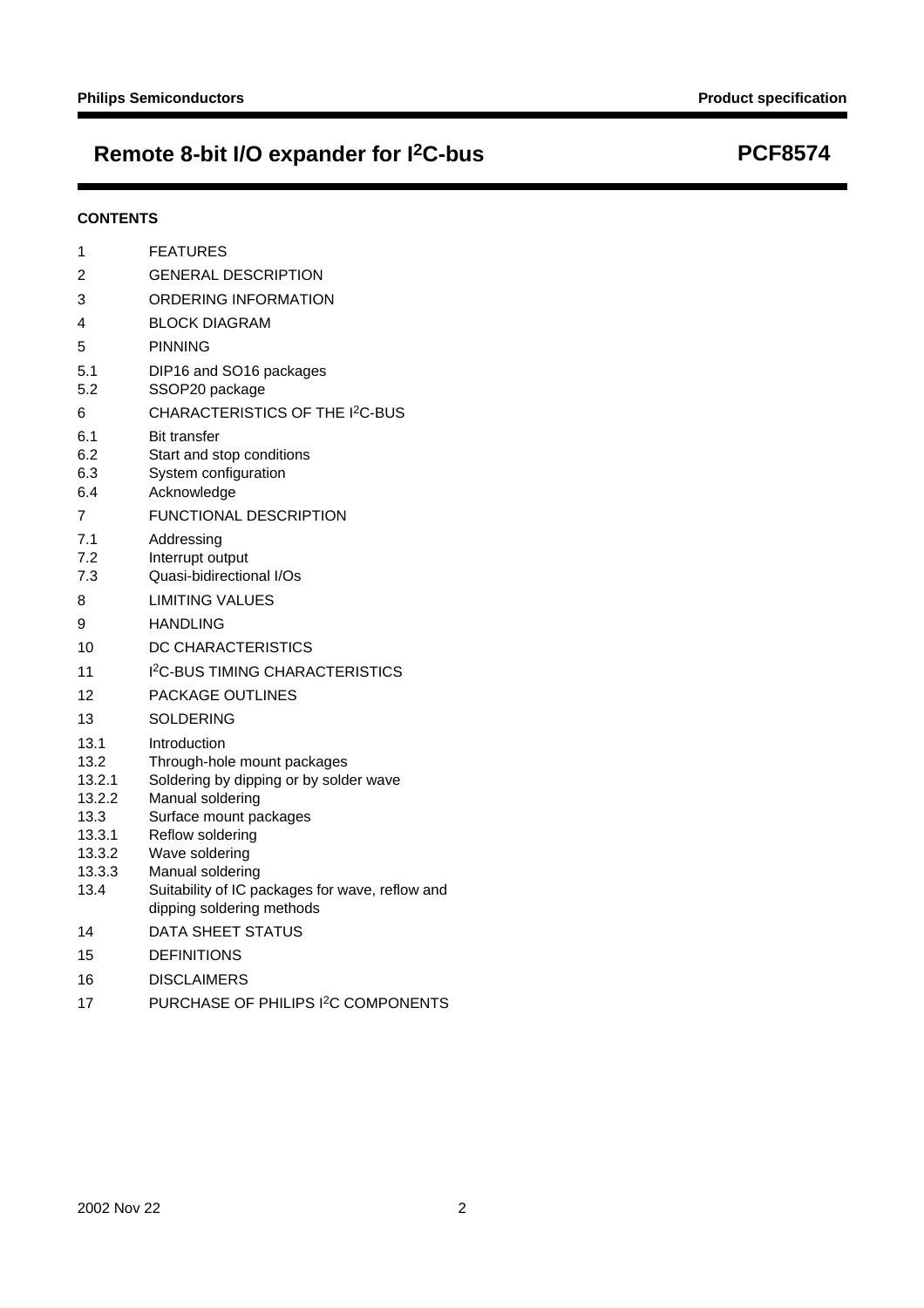# **Remote 8-bit I/O expander for I2C-bus PCF8574**

#### **CONTENTS**

| 1                                                                      | <b>FEATURES</b>                                                                                                                                                                               |
|------------------------------------------------------------------------|-----------------------------------------------------------------------------------------------------------------------------------------------------------------------------------------------|
| 2                                                                      | <b>GENERAL DESCRIPTION</b>                                                                                                                                                                    |
| 3                                                                      | ORDERING INFORMATION                                                                                                                                                                          |
| 4                                                                      | <b>BLOCK DIAGRAM</b>                                                                                                                                                                          |
| 5                                                                      | <b>PINNING</b>                                                                                                                                                                                |
| 5.1<br>5.2                                                             | DIP16 and SO16 packages<br>SSOP20 package                                                                                                                                                     |
| 6                                                                      | CHARACTERISTICS OF THE I <sup>2</sup> C-BUS                                                                                                                                                   |
| 6.1<br>6.2<br>6.3<br>6.4                                               | <b>Bit transfer</b><br>Start and stop conditions<br>System configuration<br>Acknowledge                                                                                                       |
| 7                                                                      | <b>FUNCTIONAL DESCRIPTION</b>                                                                                                                                                                 |
| 7.1<br>7.2<br>7.3                                                      | Addressing<br>Interrupt output<br>Quasi-bidirectional I/Os                                                                                                                                    |
| 8                                                                      | <b>LIMITING VALUES</b>                                                                                                                                                                        |
| 9                                                                      | <b>HANDLING</b>                                                                                                                                                                               |
| 10                                                                     | DC CHARACTERISTICS                                                                                                                                                                            |
| 11                                                                     | I <sup>2</sup> C-BUS TIMING CHARACTERISTICS                                                                                                                                                   |
| 12                                                                     | PACKAGE OUTLINES                                                                                                                                                                              |
| 13                                                                     | <b>SOLDERING</b>                                                                                                                                                                              |
| 13.1<br>13.2<br>13.2.1<br>13.2.2<br>13.3<br>13.3.1<br>13.3.2<br>13.3.3 | Introduction<br>Through-hole mount packages<br>Soldering by dipping or by solder wave<br>Manual soldering<br>Surface mount packages<br>Reflow soldering<br>Wave soldering<br>Manual soldering |
| 13.4                                                                   | Suitability of IC packages for wave, reflow and<br>dipping soldering methods                                                                                                                  |
| 14                                                                     | DATA SHEET STATUS                                                                                                                                                                             |
| 15                                                                     | <b>DEFINITIONS</b>                                                                                                                                                                            |
| 16                                                                     | <b>DISCLAIMERS</b>                                                                                                                                                                            |
| 17                                                                     | PURCHASE OF PHILIPS I <sup>2</sup> C COMPONENTS                                                                                                                                               |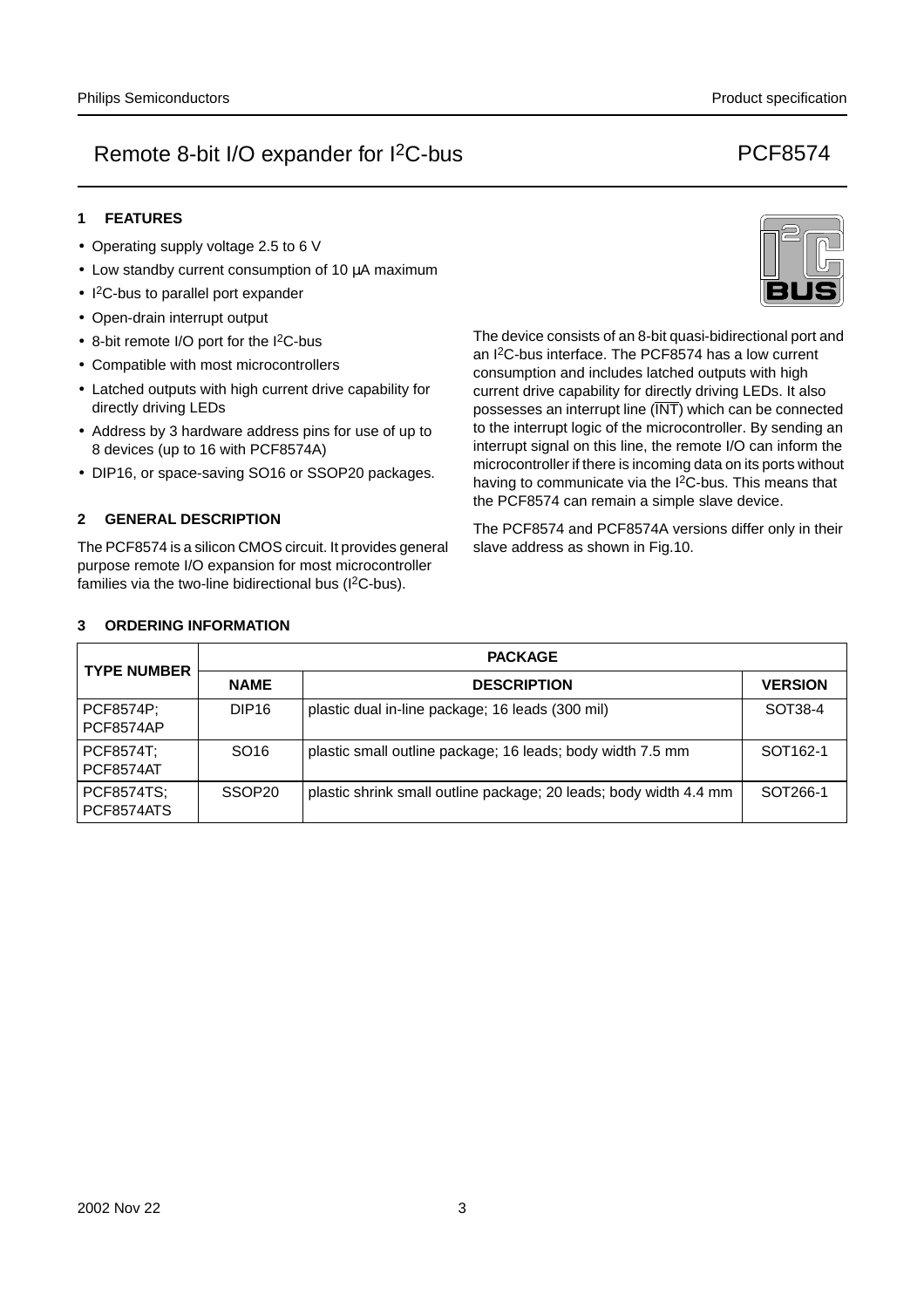## **1 FEATURES**

- Operating supply voltage 2.5 to 6 V
- Low standby current consumption of 10 µA maximum
- I<sup>2</sup>C-bus to parallel port expander
- Open-drain interrupt output
- 8-bit remote I/O port for the I2C-bus
- Compatible with most microcontrollers
- Latched outputs with high current drive capability for directly driving LEDs
- Address by 3 hardware address pins for use of up to 8 devices (up to 16 with PCF8574A)
- DIP16, or space-saving SO16 or SSOP20 packages.

## **2 GENERAL DESCRIPTION**

The PCF8574 is a silicon CMOS circuit. It provides general purpose remote I/O expansion for most microcontroller families via the two-line bidirectional bus  $(1^2C$ -bus).

The device consists of an 8-bit quasi-bidirectional port and an I2C-bus interface. The PCF8574 has a low current consumption and includes latched outputs with high current drive capability for directly driving LEDs. It also possesses an interrupt line (INT) which can be connected to the interrupt logic of the microcontroller. By sending an interrupt signal on this line, the remote I/O can inform the microcontroller if there is incoming data on its ports without having to communicate via the I<sup>2</sup>C-bus. This means that the PCF8574 can remain a simple slave device.

The PCF8574 and PCF8574A versions differ only in their slave address as shown in Fig.10.

| <b>TYPE NUMBER</b>     |                    | <b>PACKAGE</b>                                                    |                |  |  |  |  |  |
|------------------------|--------------------|-------------------------------------------------------------------|----------------|--|--|--|--|--|
|                        | <b>NAME</b>        | <b>DESCRIPTION</b>                                                | <b>VERSION</b> |  |  |  |  |  |
| PCF8574P;<br>PCF8574AP | DIP <sub>16</sub>  | plastic dual in-line package; 16 leads (300 mil)                  | SOT38-4        |  |  |  |  |  |
| PCF8574T:<br>PCF8574AT | SO <sub>16</sub>   | plastic small outline package; 16 leads; body width 7.5 mm        | SOT162-1       |  |  |  |  |  |
| PCF8574TS;             | SSOP <sub>20</sub> | plastic shrink small outline package; 20 leads; body width 4.4 mm | SOT266-1       |  |  |  |  |  |

#### **3 ORDERING INFORMATION**

 $\overline{\mathsf{P}}$  $\overline{P}$ 

 $\overline{P}$  $\overline{P}$ 

 $\overline{P}$ 

PCF8574ATS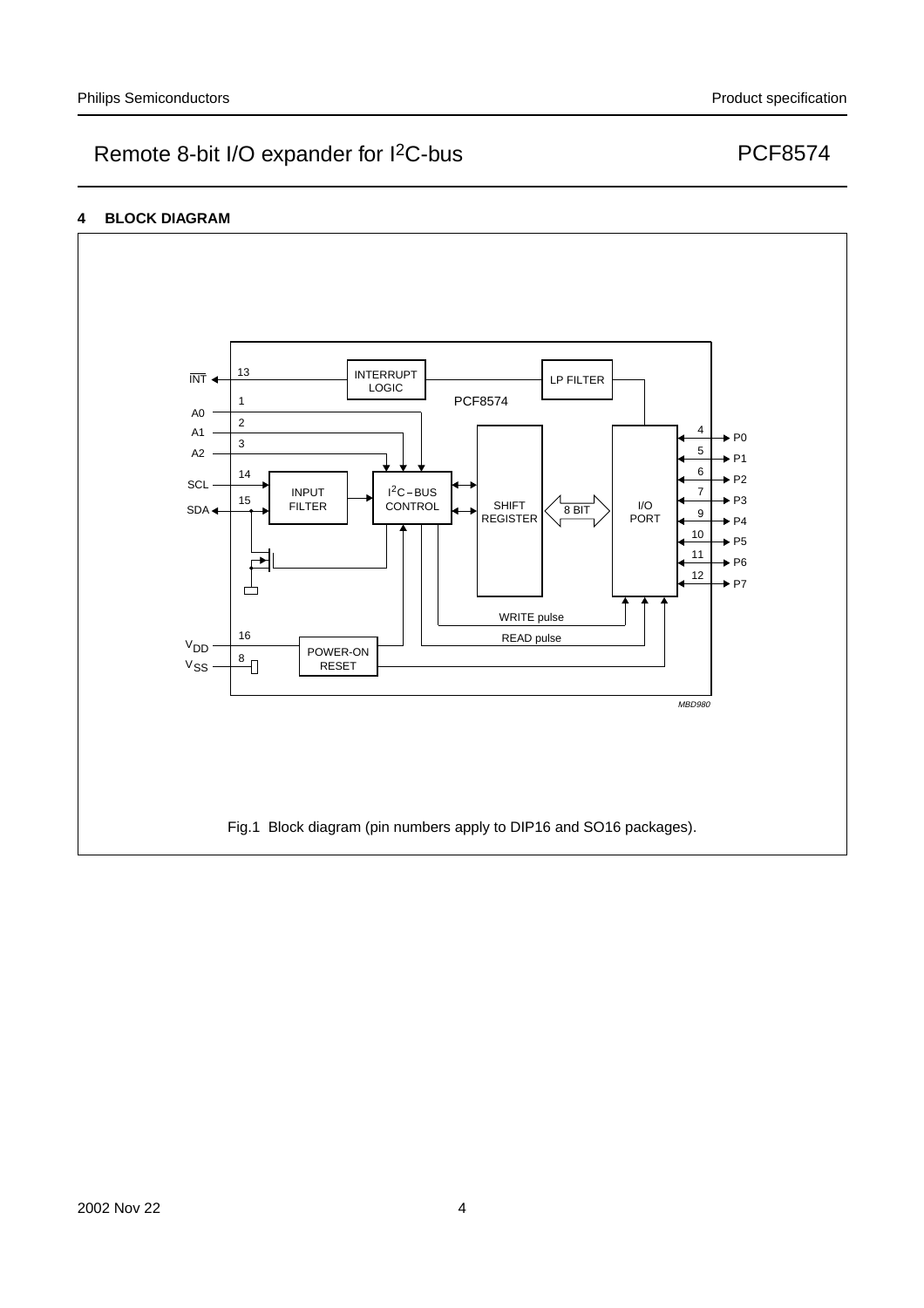## **4 BLOCK DIAGRAM**

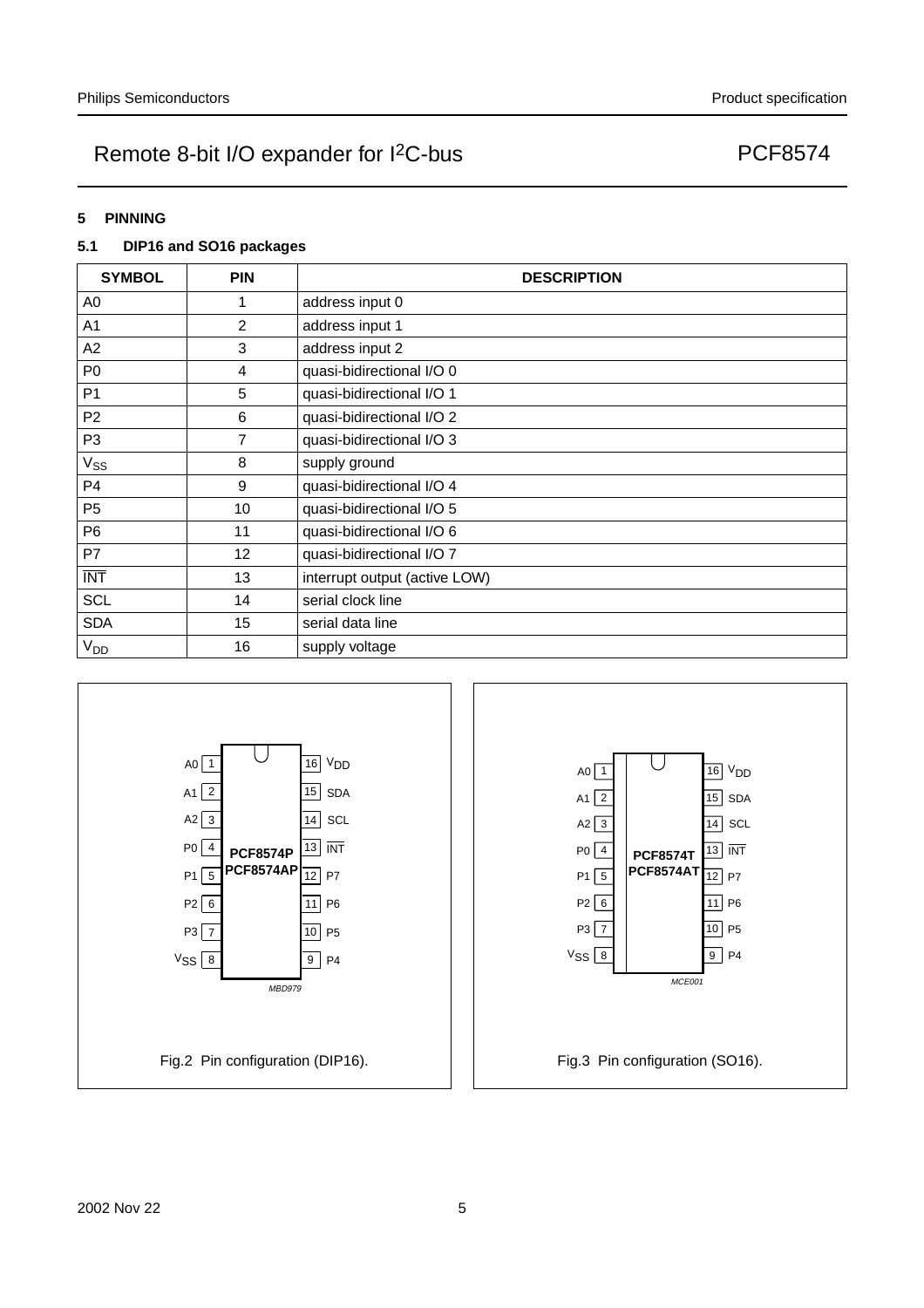#### **5 PINNING**

## **5.1 DIP16 and SO16 packages**

| <b>SYMBOL</b>   | <b>PIN</b>       | <b>DESCRIPTION</b>            |  |  |
|-----------------|------------------|-------------------------------|--|--|
| A0              |                  | address input 0               |  |  |
| A <sub>1</sub>  | $\overline{2}$   | address input 1               |  |  |
| A2              | 3                | address input 2               |  |  |
| P <sub>0</sub>  | 4                | quasi-bidirectional I/O 0     |  |  |
| P <sub>1</sub>  | 5                | quasi-bidirectional I/O 1     |  |  |
| P <sub>2</sub>  | 6                | quasi-bidirectional I/O 2     |  |  |
| P <sub>3</sub>  | 7                | quasi-bidirectional I/O 3     |  |  |
| Vss             | 8                | supply ground                 |  |  |
| P4              | $\boldsymbol{9}$ | quasi-bidirectional I/O 4     |  |  |
| P <sub>5</sub>  | 10               | quasi-bidirectional I/O 5     |  |  |
| P <sub>6</sub>  | 11               | quasi-bidirectional I/O 6     |  |  |
| P7              | 12               | quasi-bidirectional I/O 7     |  |  |
| <b>INT</b>      | 13               | interrupt output (active LOW) |  |  |
| <b>SCL</b>      | 14               | serial clock line             |  |  |
| <b>SDA</b>      | 15               | serial data line              |  |  |
| V <sub>DD</sub> | 16               | supply voltage                |  |  |

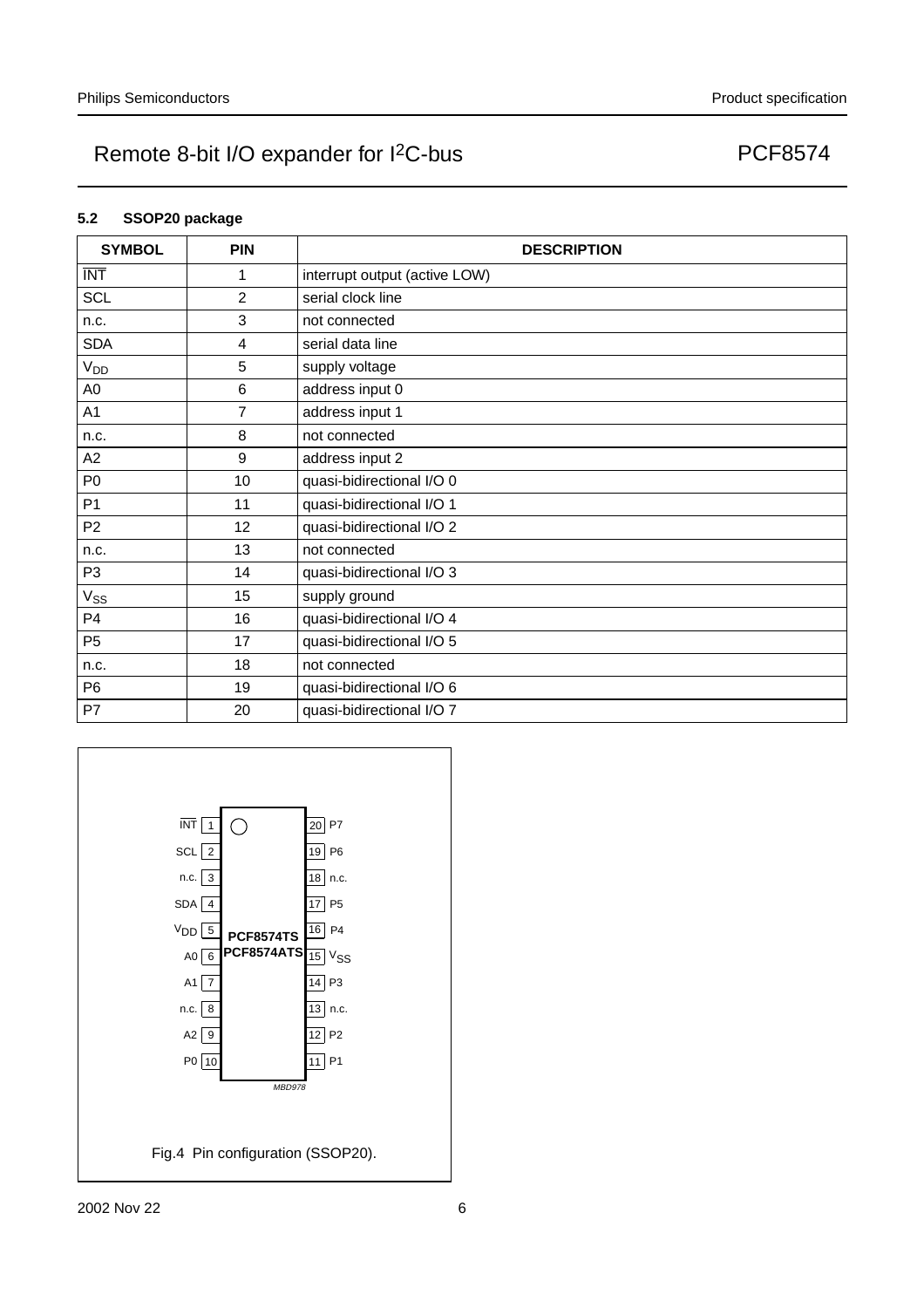## **5.2 SSOP20 package**

| <b>SYMBOL</b>   | <b>PIN</b>     | <b>DESCRIPTION</b>            |  |  |
|-----------------|----------------|-------------------------------|--|--|
| <b>INT</b>      | 1              | interrupt output (active LOW) |  |  |
| <b>SCL</b>      | $\overline{2}$ | serial clock line             |  |  |
| n.c.            | 3              | not connected                 |  |  |
| <b>SDA</b>      | 4              | serial data line              |  |  |
| V <sub>DD</sub> | 5              | supply voltage                |  |  |
| A <sub>0</sub>  | 6              | address input 0               |  |  |
| A <sub>1</sub>  | $\overline{7}$ | address input 1               |  |  |
| n.c.            | 8              | not connected                 |  |  |
| A2              | 9              | address input 2               |  |  |
| P <sub>0</sub>  | 10             | quasi-bidirectional I/O 0     |  |  |
| P <sub>1</sub>  | 11             | quasi-bidirectional I/O 1     |  |  |
| P <sub>2</sub>  | 12             | quasi-bidirectional I/O 2     |  |  |
| n.c.            | 13             | not connected                 |  |  |
| P3              | 14             | quasi-bidirectional I/O 3     |  |  |
| $V_{SS}$        | 15             | supply ground                 |  |  |
| P <sub>4</sub>  | 16             | quasi-bidirectional I/O 4     |  |  |
| P <sub>5</sub>  | 17             | quasi-bidirectional I/O 5     |  |  |
| n.c.            | 18             | not connected                 |  |  |
| P <sub>6</sub>  | 19             | quasi-bidirectional I/O 6     |  |  |
| P7              | 20             | quasi-bidirectional I/O 7     |  |  |

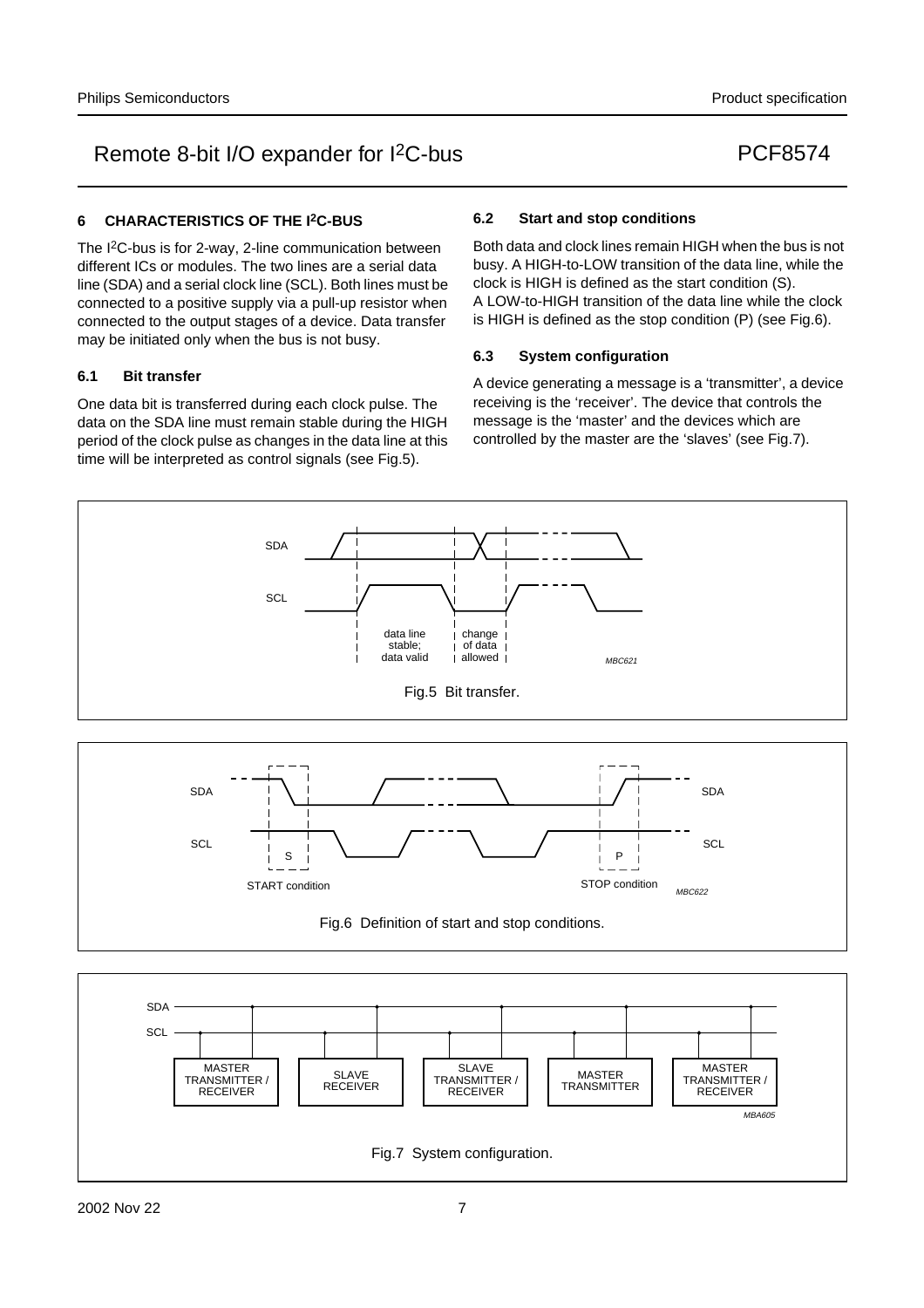#### **6 CHARACTERISTICS OF THE I2C-BUS**

The I2C-bus is for 2-way, 2-line communication between different ICs or modules. The two lines are a serial data line (SDA) and a serial clock line (SCL). Both lines must be connected to a positive supply via a pull-up resistor when connected to the output stages of a device. Data transfer may be initiated only when the bus is not busy.

#### **6.1 Bit transfer**

One data bit is transferred during each clock pulse. The data on the SDA line must remain stable during the HIGH period of the clock pulse as changes in the data line at this time will be interpreted as control signals (see Fig.5).

> S START condition

#### **6.2 Start and stop conditions**

Both data and clock lines remain HIGH when the bus is not busy. A HIGH-to-LOW transition of the data line, while the clock is HIGH is defined as the start condition (S). A LOW-to-HIGH transition of the data line while the clock is HIGH is defined as the stop condition (P) (see Fig.6).

#### **6.3 System configuration**

A device generating a message is a 'transmitter', a device receiving is the 'receiver'. The device that controls the message is the 'master' and the devices which are controlled by the master are the 'slaves' (see Fig.7).

MBC622

P STOP condition





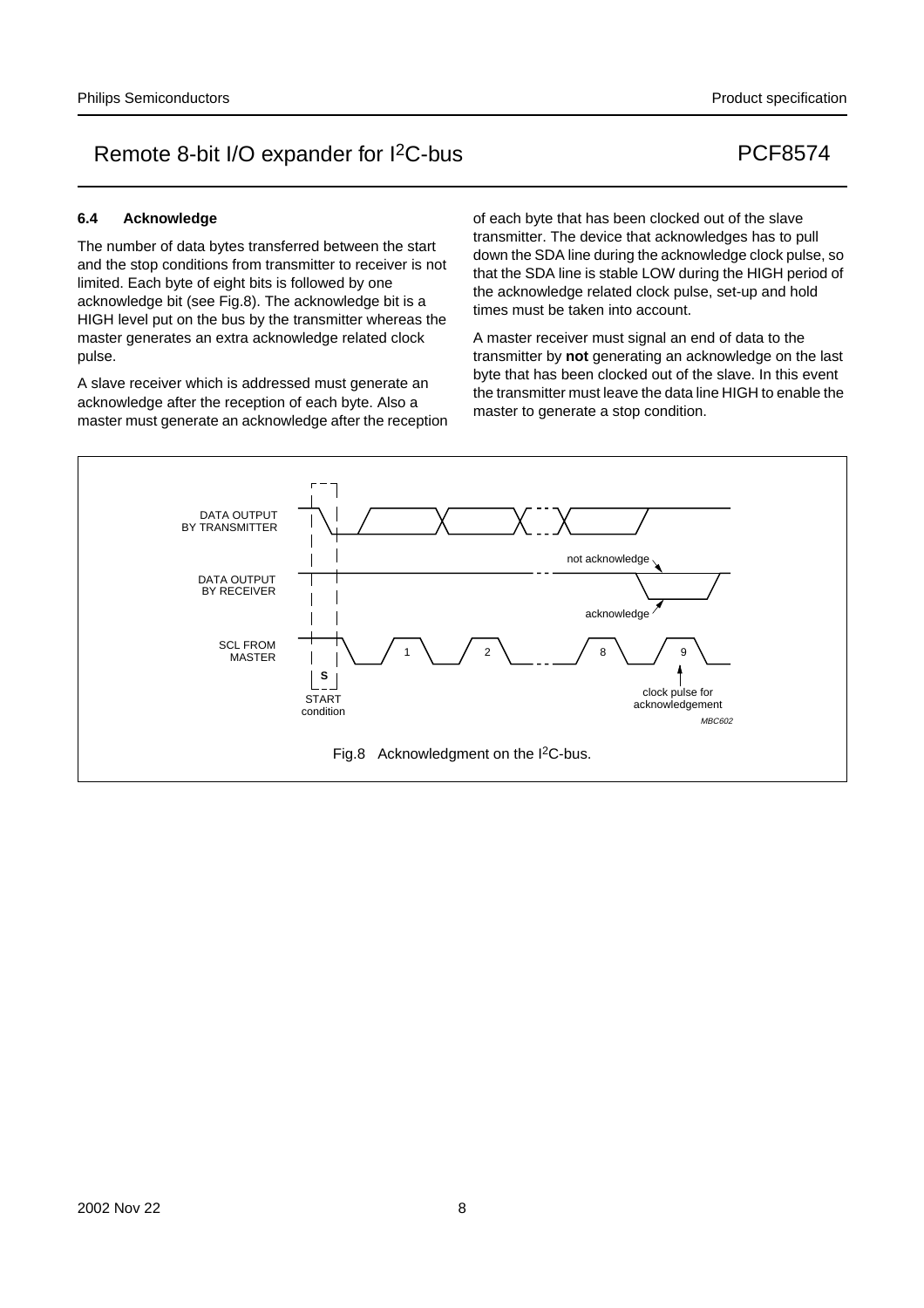#### **6.4 Acknowledge**

The number of data bytes transferred between the start and the stop conditions from transmitter to receiver is not limited. Each byte of eight bits is followed by one acknowledge bit (see Fig.8). The acknowledge bit is a HIGH level put on the bus by the transmitter whereas the master generates an extra acknowledge related clock pulse.

A slave receiver which is addressed must generate an acknowledge after the reception of each byte. Also a master must generate an acknowledge after the reception of each byte that has been clocked out of the slave transmitter. The device that acknowledges has to pull down the SDA line during the acknowledge clock pulse, so that the SDA line is stable LOW during the HIGH period of the acknowledge related clock pulse, set-up and hold times must be taken into account.

A master receiver must signal an end of data to the transmitter by **not** generating an acknowledge on the last byte that has been clocked out of the slave. In this event the transmitter must leave the data line HIGH to enable the master to generate a stop condition.

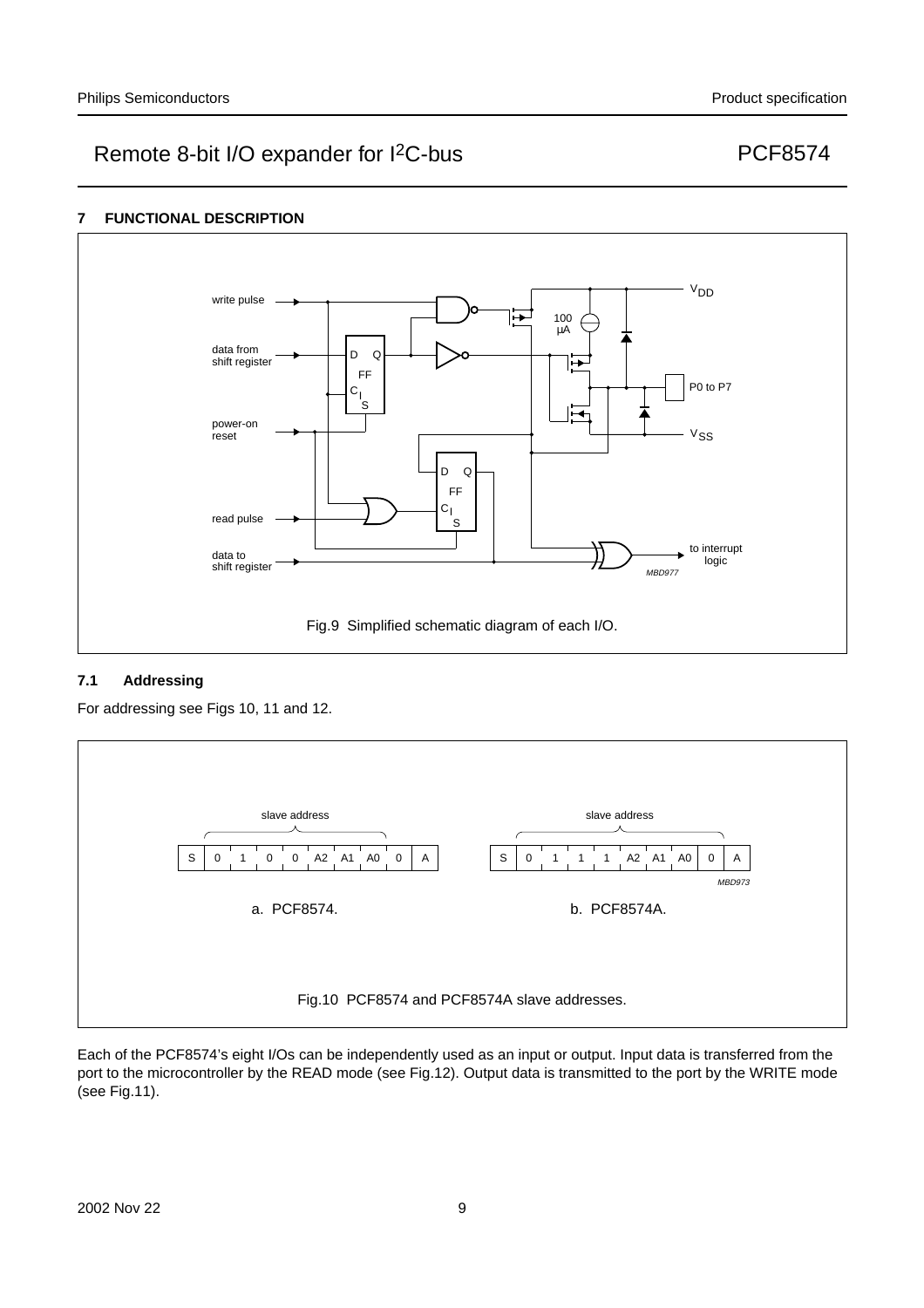## **7 FUNCTIONAL DESCRIPTION**



## **7.1 Addressing**

For addressing see Figs 10, 11 and 12.



Each of the PCF8574's eight I/Os can be independently used as an input or output. Input data is transferred from the port to the microcontroller by the READ mode (see Fig.12). Output data is transmitted to the port by the WRITE mode (see Fig.11).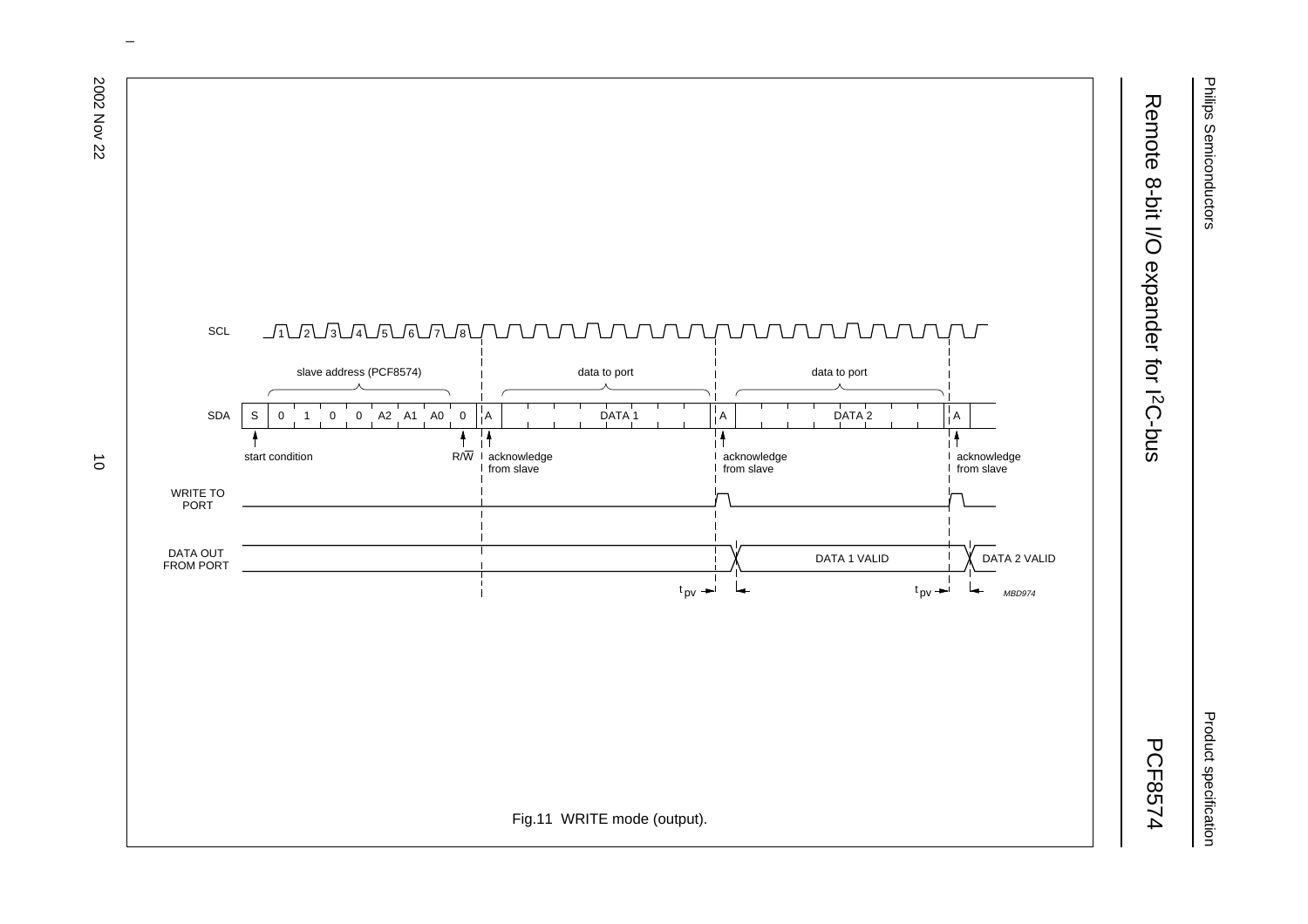# Remote 8-bit I/O expander for I<sup>2</sup>C-bus Remote 8-bit I/O expander for I2C-bus

PCF8574



 $\omega$  rotated correctly when browsing through the pdf in the Acrobat reader.This text is here in the pdf in the  $\alpha$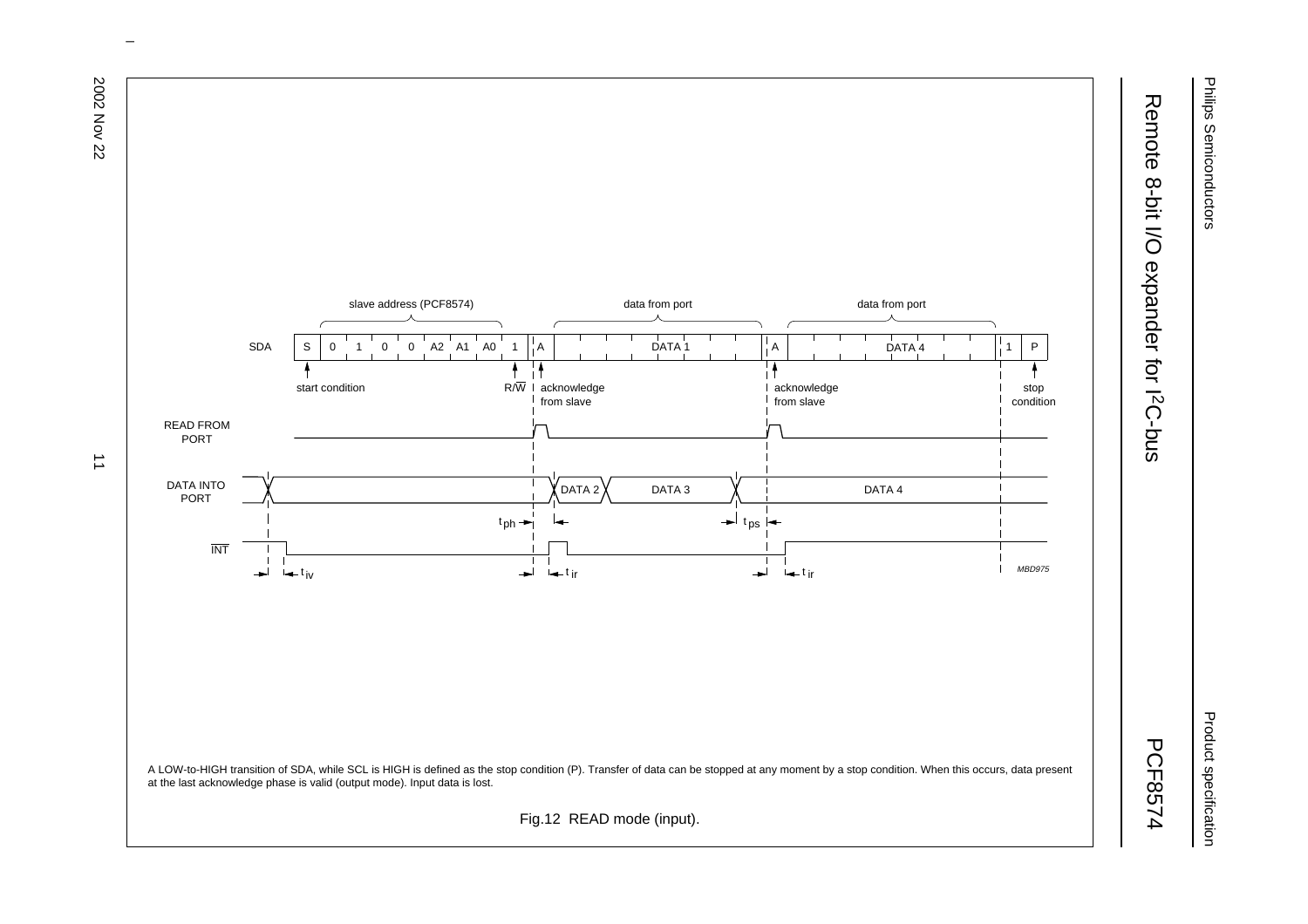Philips Semiconductors Philips Semiconductors

Product specification Product specification

# Remote 8-bit I/O expander for I<sup>2</sup>C-bus Remote 8-bit I/O expander for I2C-bus

PCF8574



 $\omega$  rotated correctly when browsing through the pdf in the Acrobat reader.This text is here in the pdf in the  $\alpha$ 

 $\overrightarrow{a}$ 

2002 Nov 22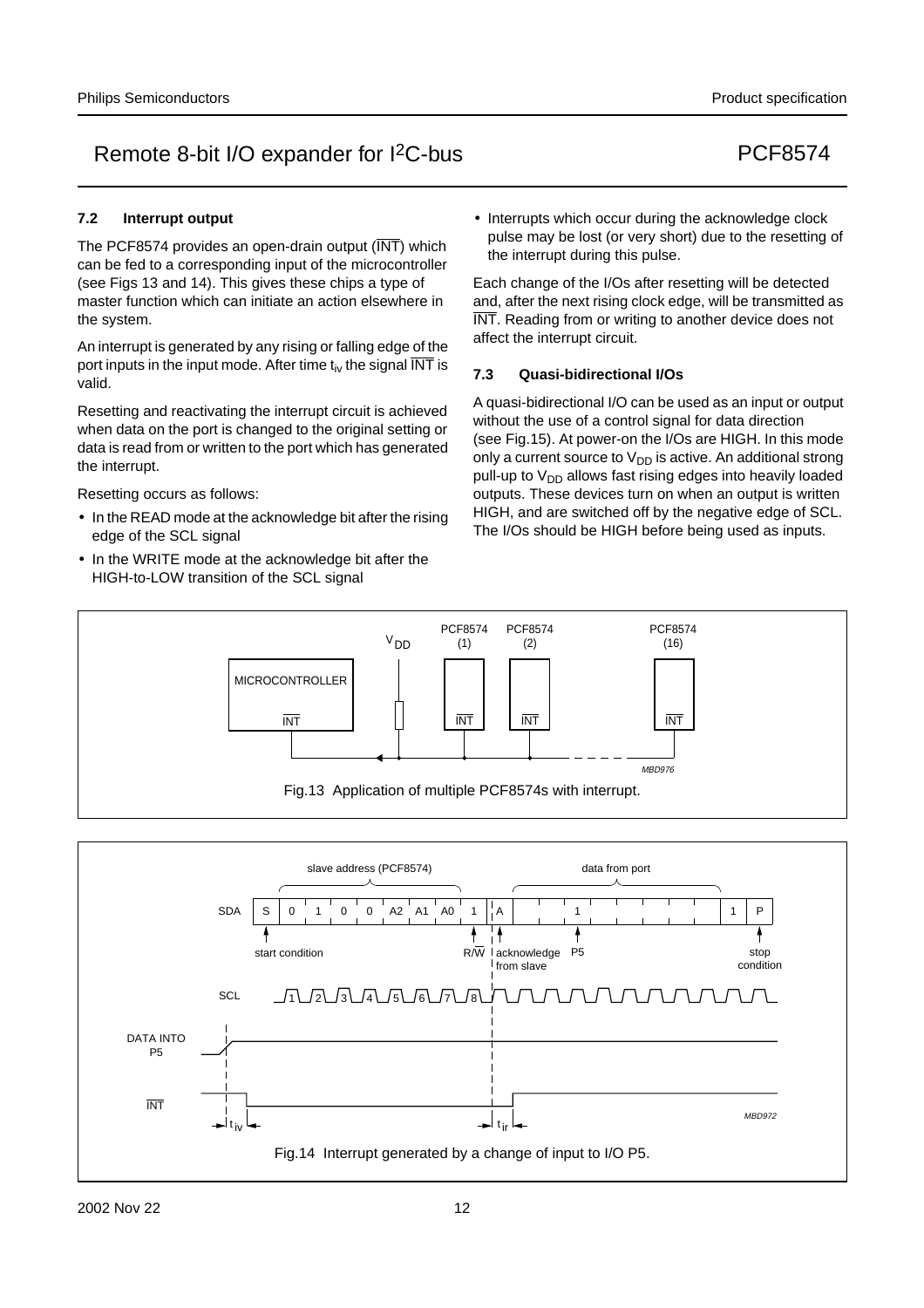## **7.2 Interrupt output**

The PCF8574 provides an open-drain output  $(\overline{\text{INT}})$  which can be fed to a corresponding input of the microcontroller (see Figs 13 and 14). This gives these chips a type of master function which can initiate an action elsewhere in the system.

An interrupt is generated by any rising or falling edge of the port inputs in the input mode. After time  $t_{iv}$  the signal  $\overline{INT}$  is valid.

Resetting and reactivating the interrupt circuit is achieved when data on the port is changed to the original setting or data is read from or written to the port which has generated the interrupt.

Resetting occurs as follows:

- In the READ mode at the acknowledge bit after the rising edge of the SCL signal
- In the WRITE mode at the acknowledge bit after the HIGH-to-LOW transition of the SCL signal

• Interrupts which occur during the acknowledge clock pulse may be lost (or very short) due to the resetting of the interrupt during this pulse.

Each change of the I/Os after resetting will be detected and, after the next rising clock edge, will be transmitted as INT. Reading from or writing to another device does not affect the interrupt circuit.

## **7.3 Quasi-bidirectional I/Os**

A quasi-bidirectional I/O can be used as an input or output without the use of a control signal for data direction (see Fig.15). At power-on the I/Os are HIGH. In this mode only a current source to  $V_{DD}$  is active. An additional strong pull-up to  $V_{DD}$  allows fast rising edges into heavily loaded outputs. These devices turn on when an output is written HIGH, and are switched off by the negative edge of SCL. The I/Os should be HIGH before being used as inputs.



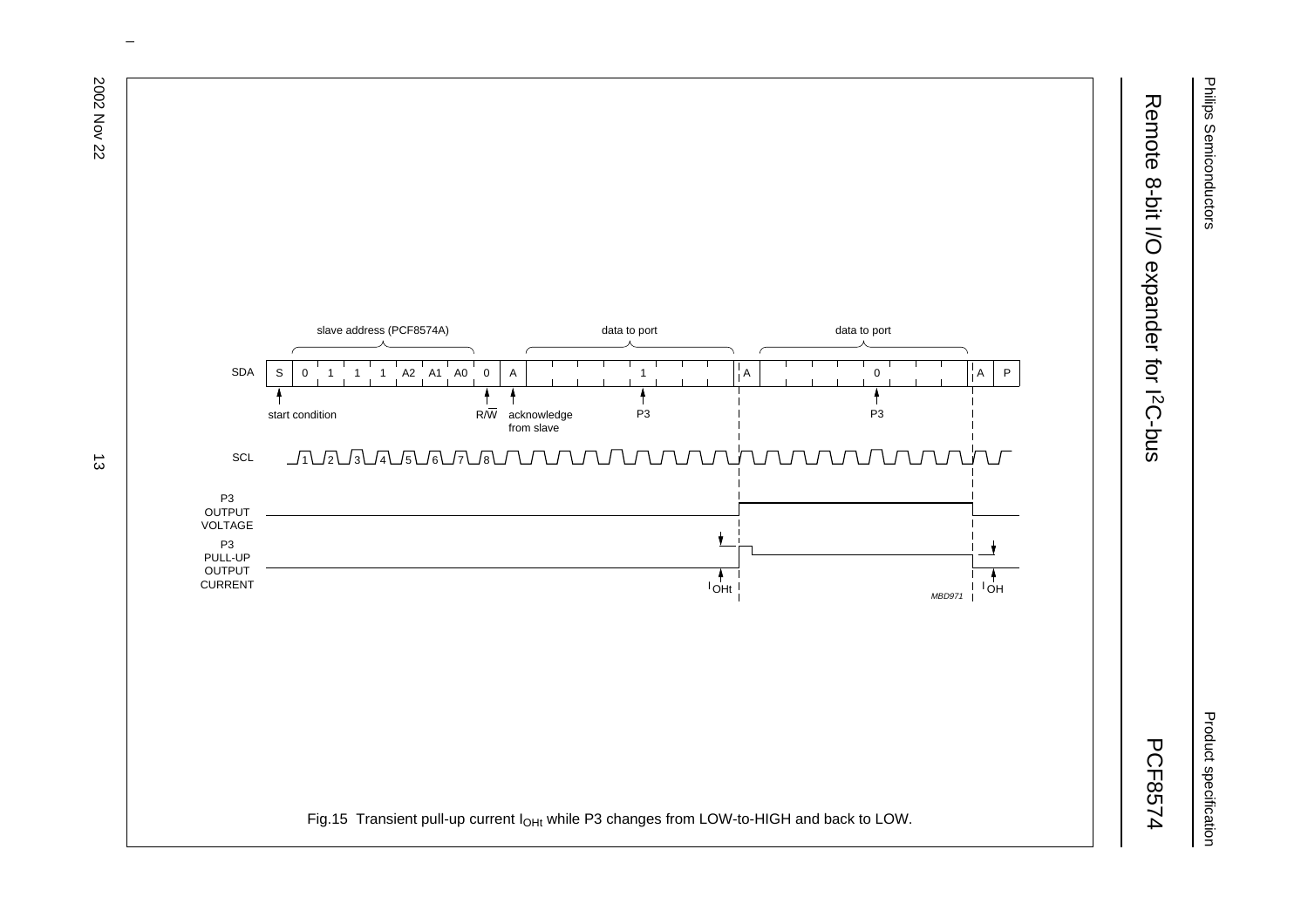# Remote 8-bit I/O expander for I<sup>2</sup>C-bus Remote 8-bit I/O expander for I2C-bus

PCF8574



 $\omega$  rotated correctly when browsing through the pdf in the Acrobat reader.This text is here in the pdf in the  $\alpha$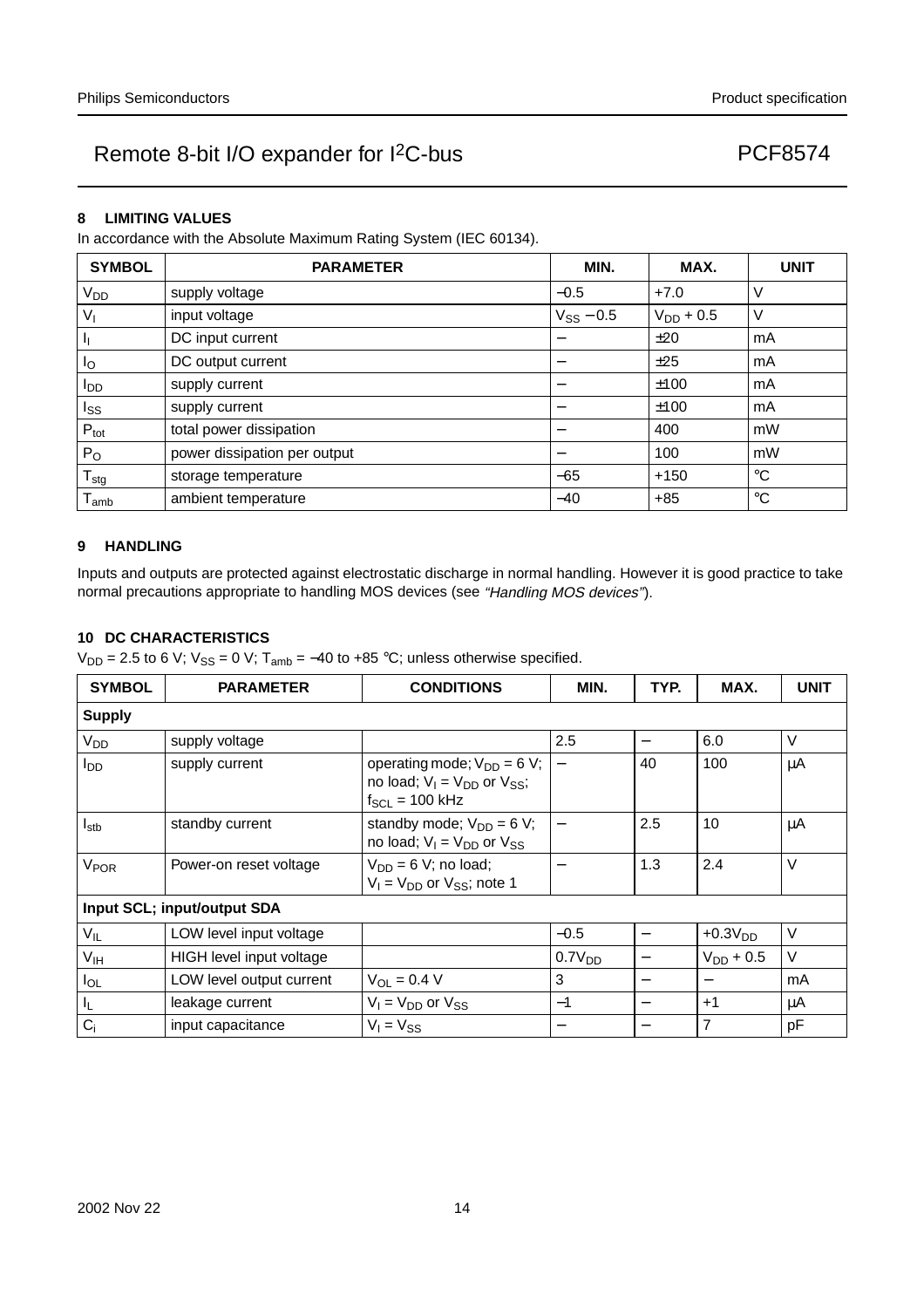#### **8 LIMITING VALUES**

In accordance with the Absolute Maximum Rating System (IEC 60134).

| <b>SYMBOL</b>    | <b>PARAMETER</b>             | MIN.           | MAX.           | <b>UNIT</b> |
|------------------|------------------------------|----------------|----------------|-------------|
| V <sub>DD</sub>  | supply voltage               | $-0.5$         | $+7.0$         | V           |
| $V_{1}$          | input voltage                | $V_{SS}$ – 0.5 | $V_{DD}$ + 0.5 | V           |
| JI.              | DC input current             | —              | ±20            | mA          |
| $I_{\rm O}$      | DC output current            |                | ±25            | mA          |
| $I_{DD}$         | supply current               |                | ±100           | mA          |
| $I_{SS}$         | supply current               |                | ±100           | mA          |
| $P_{\text{tot}}$ | total power dissipation      |                | 400            | mW          |
| $P_{O}$          | power dissipation per output |                | 100            | mW          |
| $T_{\text{stg}}$ | storage temperature          | $-65$          | $+150$         | $^{\circ}C$ |
| l amb            | ambient temperature          | $-40$          | $+85$          | $^{\circ}C$ |

#### **9 HANDLING**

Inputs and outputs are protected against electrostatic discharge in normal handling. However it is good practice to take normal precautions appropriate to handling MOS devices (see "Handling MOS devices").

## **10 DC CHARACTERISTICS**

 $V_{DD} = 2.5$  to 6 V;  $V_{SS} = 0$  V; T<sub>amb</sub> = -40 to +85 °C; unless otherwise specified.

| <b>SYMBOL</b>    | <b>PARAMETER</b>            | <b>CONDITIONS</b>                                                                                  | MIN.                     | TYP. | MAX.           | <b>UNIT</b> |
|------------------|-----------------------------|----------------------------------------------------------------------------------------------------|--------------------------|------|----------------|-------------|
| <b>Supply</b>    |                             |                                                                                                    |                          |      |                |             |
| V <sub>DD</sub>  | supply voltage              |                                                                                                    | 2.5                      |      | 6.0            | $\vee$      |
| l <sub>DD</sub>  | supply current              | operating mode; $V_{DD} = 6 V$ ;  <br>no load; $V_1 = V_{DD}$ or $V_{SS}$ ;<br>$f_{SCL}$ = 100 kHz |                          | 40   | 100            | μA          |
| $I_{\text{stb}}$ | standby current             | standby mode; $V_{DD} = 6 V$ ;<br>no load; $V_1 = V_{DD}$ or $V_{SS}$                              | $\overline{\phantom{m}}$ | 2.5  | 10             | μA          |
| V <sub>POR</sub> | Power-on reset voltage      | $V_{DD} = 6 V$ ; no load;<br>$V_1 = V_{DD}$ or $V_{SS}$ ; note 1                                   |                          | 1.3  | 2.4            | $\vee$      |
|                  | Input SCL; input/output SDA |                                                                                                    |                          |      |                |             |
| $V_{IL}$         | LOW level input voltage     |                                                                                                    | $-0.5$                   |      | $+0.3VDD$      | V           |
| V <sub>IH</sub>  | HIGH level input voltage    |                                                                                                    | 0.7V <sub>DD</sub>       |      | $V_{DD}$ + 0.5 | $\vee$      |
| $I_{OL}$         | LOW level output current    | $V_{OL} = 0.4 V$                                                                                   | 3                        | —    |                | mA          |
| IL.              | leakage current             | $V_1 = V_{DD}$ or $V_{SS}$                                                                         | $-1$                     | —    | $+1$           | μA          |
| $C_i$            | input capacitance           | $V_1 = V_{SS}$                                                                                     | $\overline{\phantom{m}}$ |      | $\overline{7}$ | pF          |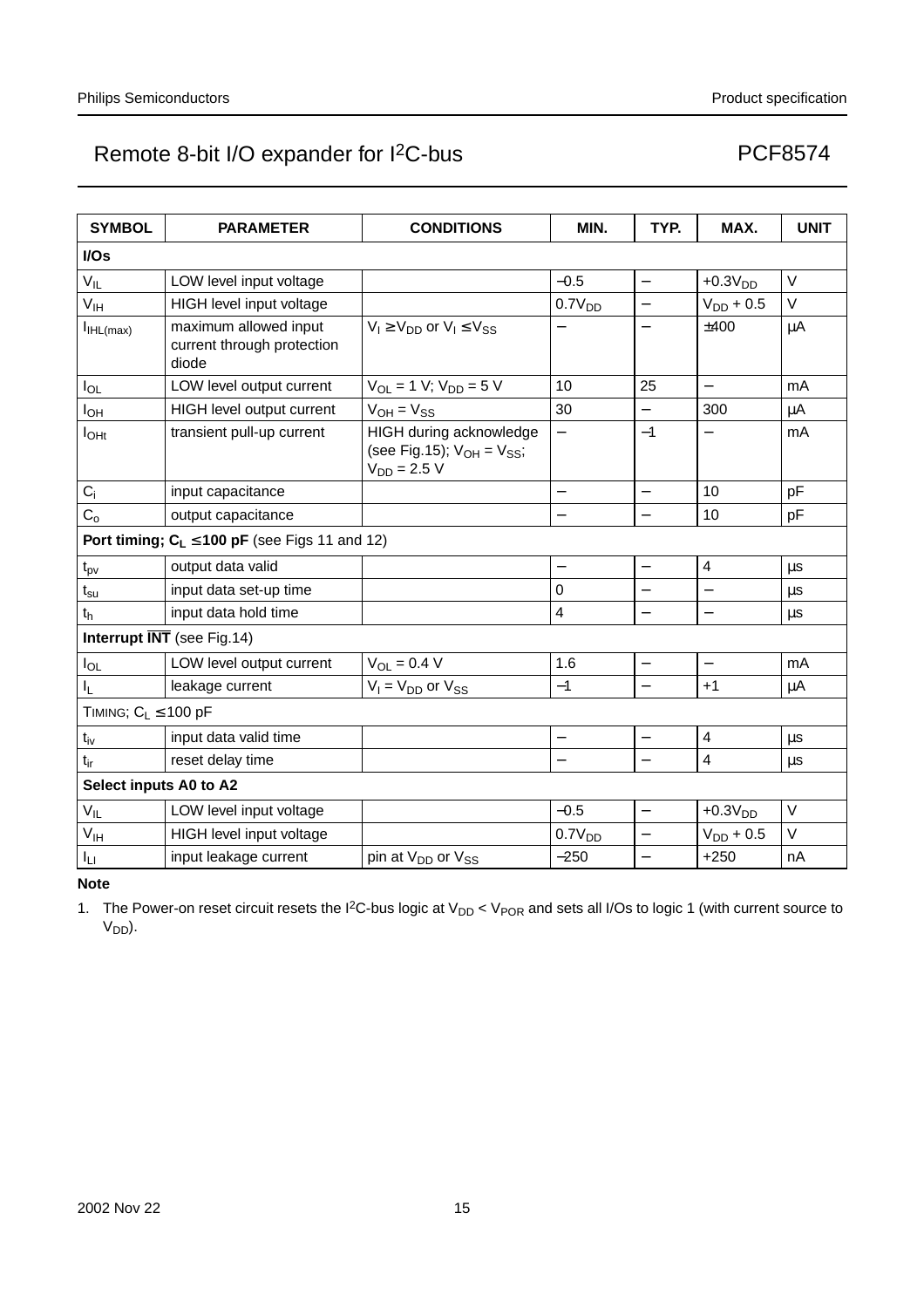| <b>SYMBOL</b>              | <b>PARAMETER</b>                                             | <b>CONDITIONS</b>                                                                | MIN.                     | TYP.                     | MAX.                     | <b>UNIT</b> |  |  |
|----------------------------|--------------------------------------------------------------|----------------------------------------------------------------------------------|--------------------------|--------------------------|--------------------------|-------------|--|--|
| I/Os                       |                                                              |                                                                                  |                          |                          |                          |             |  |  |
| $V_{IL}$                   | LOW level input voltage                                      |                                                                                  | $-0.5$                   | $\overline{\phantom{0}}$ | $+0.3VDD$                | $\vee$      |  |  |
| V <sub>IH</sub>            | HIGH level input voltage                                     |                                                                                  | 0.7V <sub>DD</sub>       |                          | $V_{DD} + 0.5$           | $\vee$      |  |  |
| I <sub>IHL(max)</sub>      | maximum allowed input<br>current through protection<br>diode | $V_1 \ge V_{DD}$ or $V_1 \le V_{SS}$                                             |                          |                          | ±400                     | $\mu$ A     |  |  |
| $I_{OL}$                   | LOW level output current                                     | $V_{OL} = 1 V$ ; $V_{DD} = 5 V$                                                  | 10                       | 25                       | $\overline{\phantom{0}}$ | mA          |  |  |
| I <sub>OH</sub>            | HIGH level output current                                    | $V_{OH} = V_{SS}$                                                                | 30                       |                          | 300                      | $\mu$ A     |  |  |
| $I_{OHt}$                  | transient pull-up current                                    | HIGH during acknowledge<br>(see Fig.15); $V_{OH} = V_{SS}$ ;<br>$V_{DD} = 2.5 V$ |                          | $-1$                     |                          | mA          |  |  |
| $C_i$                      | input capacitance                                            |                                                                                  |                          | $\overline{\phantom{0}}$ | 10                       | pF          |  |  |
| C <sub>o</sub>             | output capacitance                                           |                                                                                  |                          |                          | 10                       | pF          |  |  |
|                            | Port timing; $C_L \le 100$ pF (see Figs 11 and 12)           |                                                                                  |                          |                          |                          |             |  |  |
| $t_{pv}$                   | output data valid                                            |                                                                                  | $\overline{\phantom{0}}$ | $\equiv$                 | $\overline{\mathbf{4}}$  | μs          |  |  |
| $t_{\rm su}$               | input data set-up time                                       |                                                                                  | 0                        |                          |                          | μs          |  |  |
| t <sub>h</sub>             | input data hold time                                         |                                                                                  | 4                        |                          |                          | μs          |  |  |
|                            | Interrupt $\overline{\text{INT}}$ (see Fig.14)               |                                                                                  |                          |                          |                          |             |  |  |
| $I_{OL}$                   | LOW level output current                                     | $V_{OL} = 0.4 V$                                                                 | 1.6                      | —                        |                          | mA          |  |  |
| $I_{L}$                    | leakage current                                              | $V_1 = V_{DD}$ or $V_{SS}$                                                       | $-1$                     | $\overline{\phantom{0}}$ | $+1$                     | μA          |  |  |
| TIMING; $C_L \le 100$ pF   |                                                              |                                                                                  |                          |                          |                          |             |  |  |
| $t_{iv}$                   | input data valid time                                        |                                                                                  |                          |                          | 4                        | μs          |  |  |
| $t_{ir}$                   | reset delay time                                             |                                                                                  |                          | $\overline{\phantom{0}}$ | $\overline{4}$           | μs          |  |  |
| Select inputs A0 to A2     |                                                              |                                                                                  |                          |                          |                          |             |  |  |
| $\mathsf{V}_{\mathsf{IL}}$ | LOW level input voltage                                      |                                                                                  | $-0.5$                   | $\overline{\phantom{0}}$ | $+0.3VDD$                | $\vee$      |  |  |
| $V_{\text{IH}}$            | HIGH level input voltage                                     |                                                                                  | 0.7V <sub>DD</sub>       | $\overline{\phantom{0}}$ | $V_{DD}$ + 0.5           | $\vee$      |  |  |
| Ιu                         | input leakage current                                        | pin at V <sub>DD</sub> or V <sub>SS</sub>                                        | $-250$                   |                          | $+250$                   | nA          |  |  |

**Note**

1. The Power-on reset circuit resets the I<sup>2</sup>C-bus logic at  $V_{DD}$  <  $V_{POR}$  and sets all I/Os to logic 1 (with current source to V<sub>DD</sub>).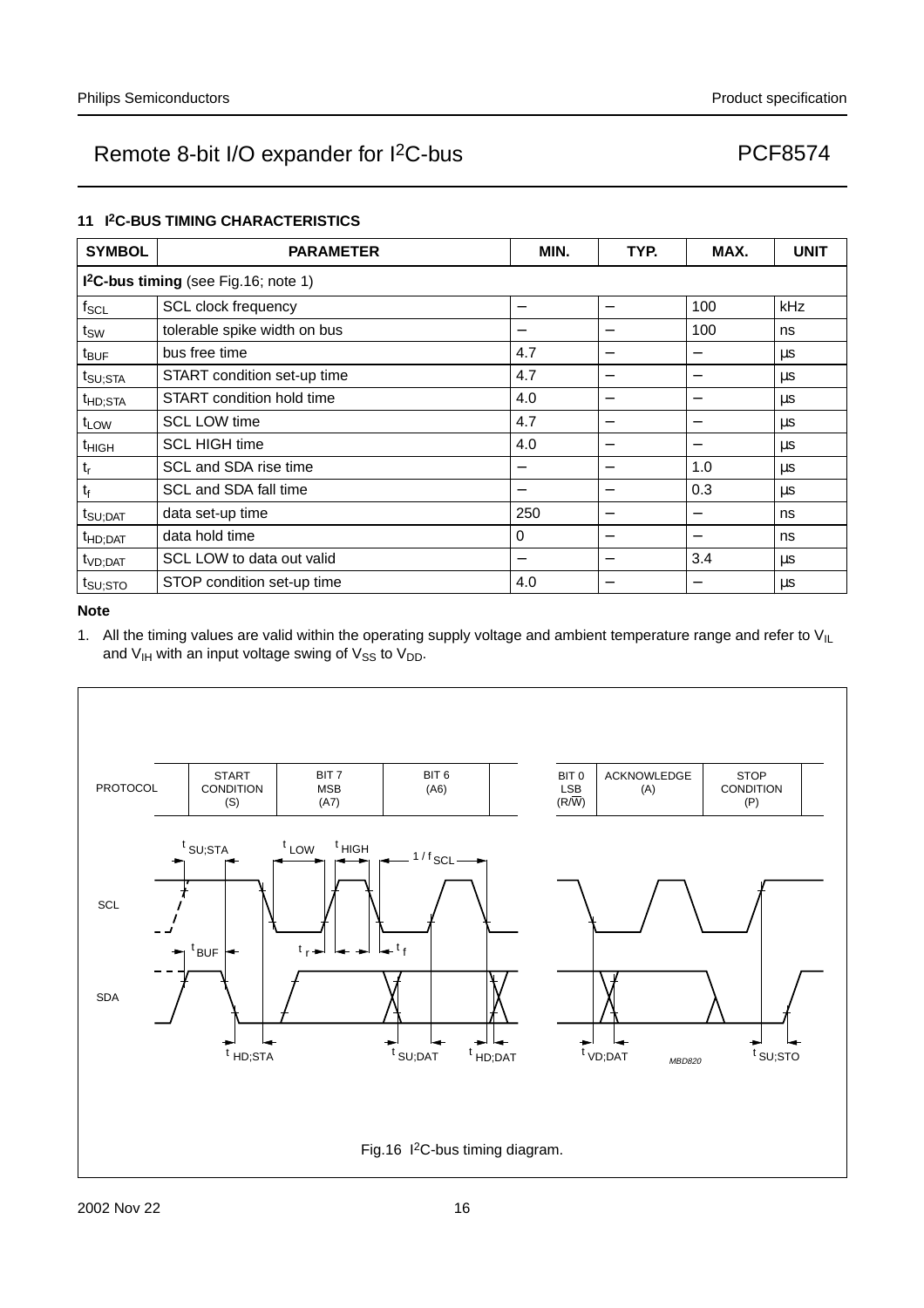#### **11 I2C-BUS TIMING CHARACTERISTICS**

| <b>SYMBOL</b>       | <b>PARAMETER</b>                        | MIN. | TYP.                             | MAX.                     | <b>UNIT</b> |  |  |  |  |
|---------------------|-----------------------------------------|------|----------------------------------|--------------------------|-------------|--|--|--|--|
|                     | $12C$ -bus timing (see Fig. 16; note 1) |      |                                  |                          |             |  |  |  |  |
| $f_{SCL}$           | SCL clock frequency                     |      | -                                | 100                      | kHz         |  |  |  |  |
| $t_{SW}$            | tolerable spike width on bus            |      | -                                | 100                      | ns          |  |  |  |  |
| $t_{\text{BUF}}$    | bus free time                           | 4.7  |                                  | $\qquad \qquad$          | μs          |  |  |  |  |
| $t_{\text{SU;STA}}$ | START condition set-up time             | 4.7  | $\overline{\phantom{0}}$         | $\overline{\phantom{0}}$ | μs          |  |  |  |  |
| t <sub>HD;STA</sub> | START condition hold time               | 4.0  | $\overline{\phantom{0}}$         |                          | μs          |  |  |  |  |
| $t_{LOW}$           | <b>SCL LOW time</b>                     | 4.7  | —                                |                          | μs          |  |  |  |  |
| <sup>t</sup> HIGH   | <b>SCL HIGH time</b>                    | 4.0  |                                  |                          | μs          |  |  |  |  |
| $t_r$               | SCL and SDA rise time                   | -    | $\overline{\phantom{0}}$         | 1.0                      | $\mu$ s     |  |  |  |  |
| $t_f$               | SCL and SDA fall time                   |      | -                                | 0.3                      | μs          |  |  |  |  |
| $t_{\text{SU;DAT}}$ | data set-up time                        | 250  | $\overbrace{\phantom{12322111}}$ |                          | ns          |  |  |  |  |
| $t_{HD;DAT}$        | data hold time                          | 0    | $\overline{\phantom{0}}$         |                          | ns          |  |  |  |  |
| t <sub>VD;DAT</sub> | SCL LOW to data out valid               |      | $\overline{\phantom{0}}$         | 3.4                      | μs          |  |  |  |  |
| t <sub>su;sto</sub> | STOP condition set-up time              | 4.0  | —                                |                          | μs          |  |  |  |  |

#### **Note**

1. All the timing values are valid within the operating supply voltage and ambient temperature range and refer to  $V_{I L}$ and  $V_{IH}$  with an input voltage swing of  $V_{SS}$  to  $V_{DD}$ .

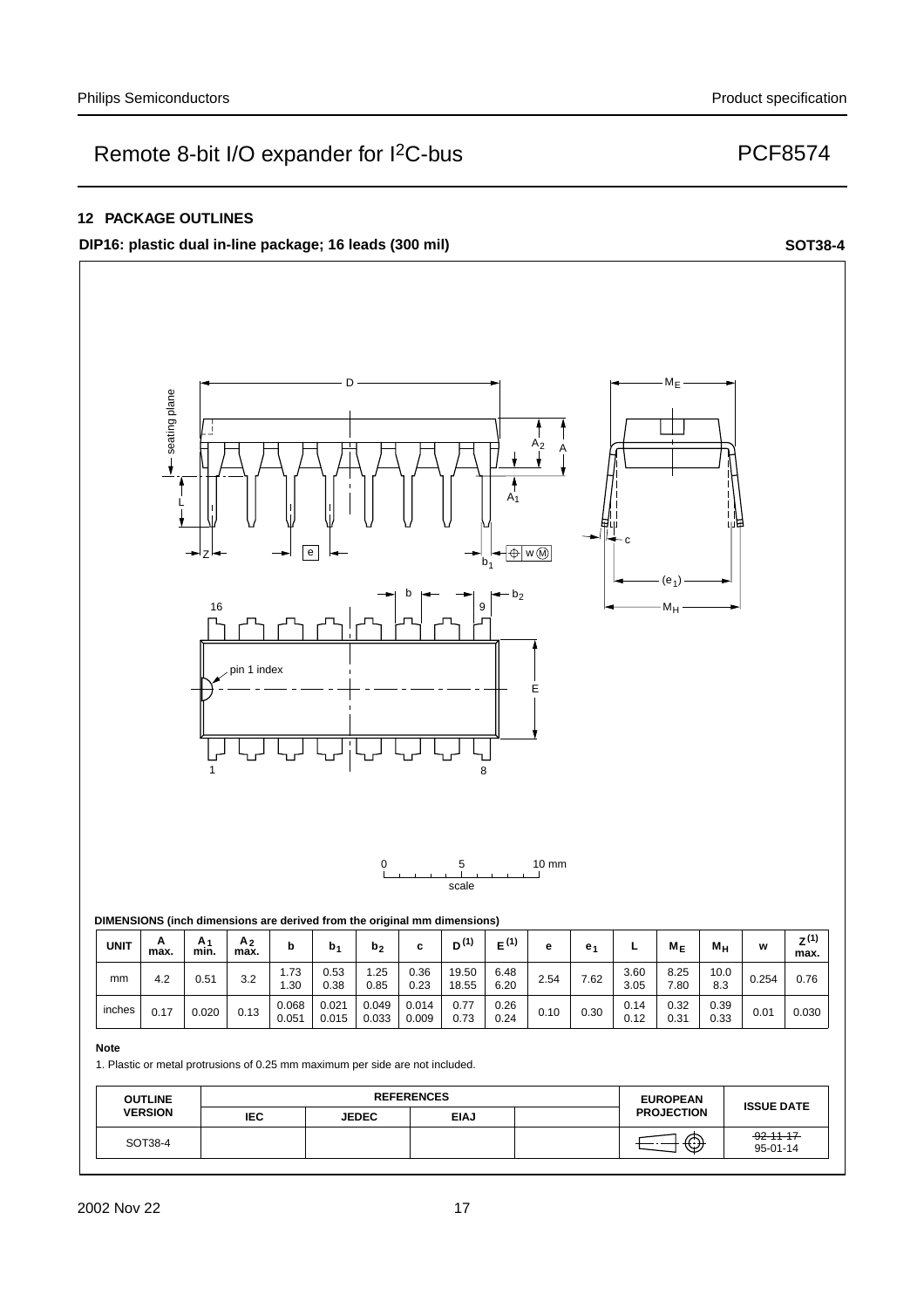#### **12 PACKAGE OUTLINES**

**DIP16: plastic dual in-line package; 16 leads (300 mil) SOT38-4**



| <b>UNIT</b> | A<br>max. | A۰<br>min. | A <sub>2</sub><br>max. | b              | b.             | $\mathsf{D}_2$ | -<br>v         | D <sup>(1)</sup> | (1)          | е    | e.   | -            | $M_F$        | Mн           | w     | Z <sup>(1)</sup><br>max. |
|-------------|-----------|------------|------------------------|----------------|----------------|----------------|----------------|------------------|--------------|------|------|--------------|--------------|--------------|-------|--------------------------|
| mm          | 4.2       | 0.51       | 3.2                    | 1.73<br>l.30   | 0.53<br>0.38   | .25<br>0.85    | 0.36<br>0.23   | 19.50<br>18.55   | 6.48<br>6.20 | 2.54 | 7.62 | 3.60<br>3.05 | 8.25<br>7.80 | 10.0<br>8.3  | 0.254 | 0.76                     |
| inches      | 0.17      | 0.020      | 0.13                   | 0.068<br>0.051 | 0.021<br>0.015 | 0.049<br>0.033 | 0.014<br>0.009 | 0.77<br>0.73     | 0.26<br>0.24 | 0.10 | 0.30 | 0.14<br>0.12 | 0.32<br>0.31 | 0.39<br>0.33 | 0.01  | 0.030                    |

#### **Note**

1. Plastic or metal protrusions of 0.25 mm maximum per side are not included.

| <b>OUTLINE</b> |      | <b>REFERENCES</b> | <b>EUROPEAN</b> | <b>ISSUE DATE</b> |                   |                             |
|----------------|------|-------------------|-----------------|-------------------|-------------------|-----------------------------|
| <b>VERSION</b> | IEC. | <b>JEDEC</b>      | <b>EIAJ</b>     |                   | <b>PROJECTION</b> |                             |
| SOT38-4        |      |                   |                 |                   | $\bigoplus$       | $-92 - 11 - 17$<br>95-01-14 |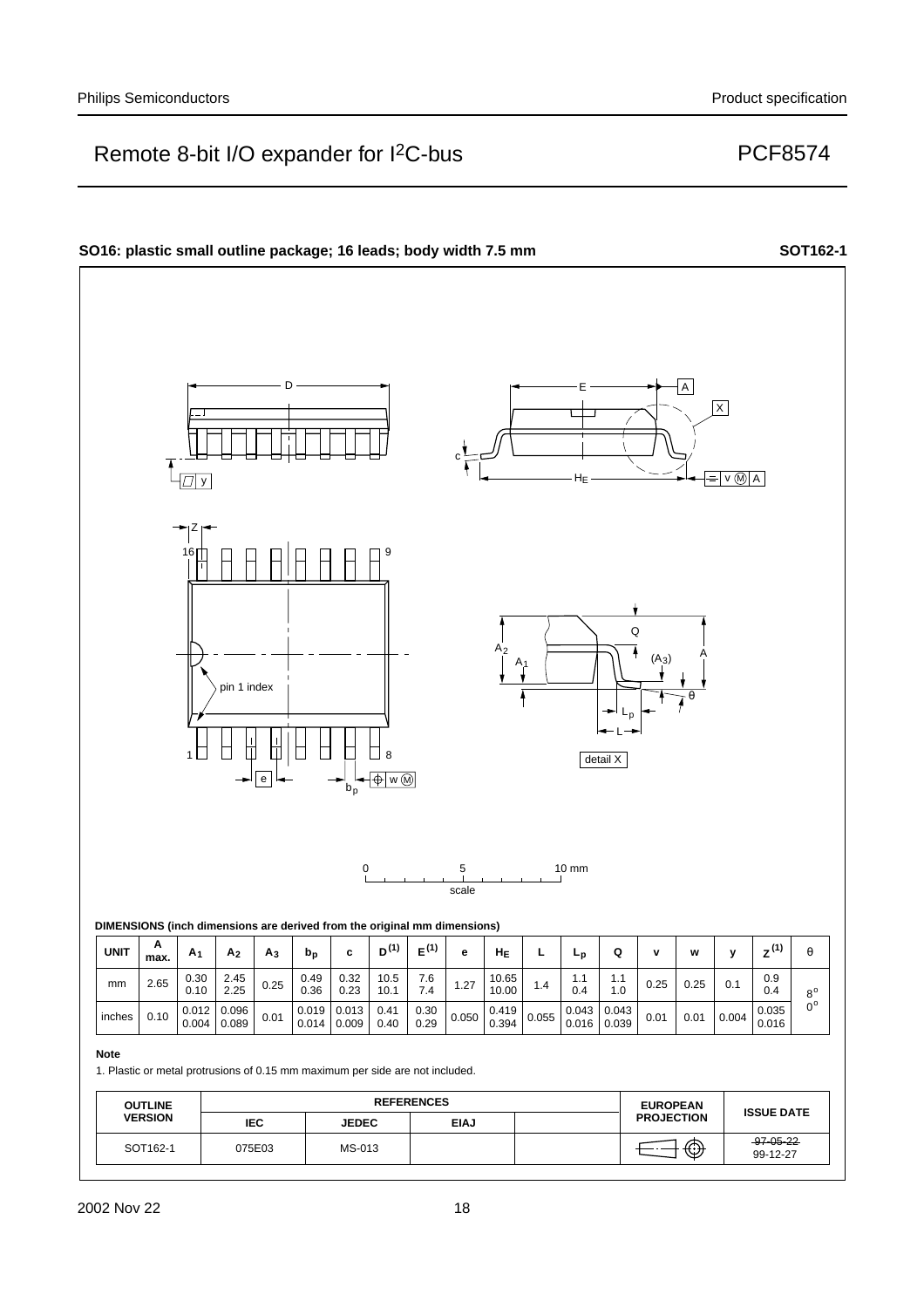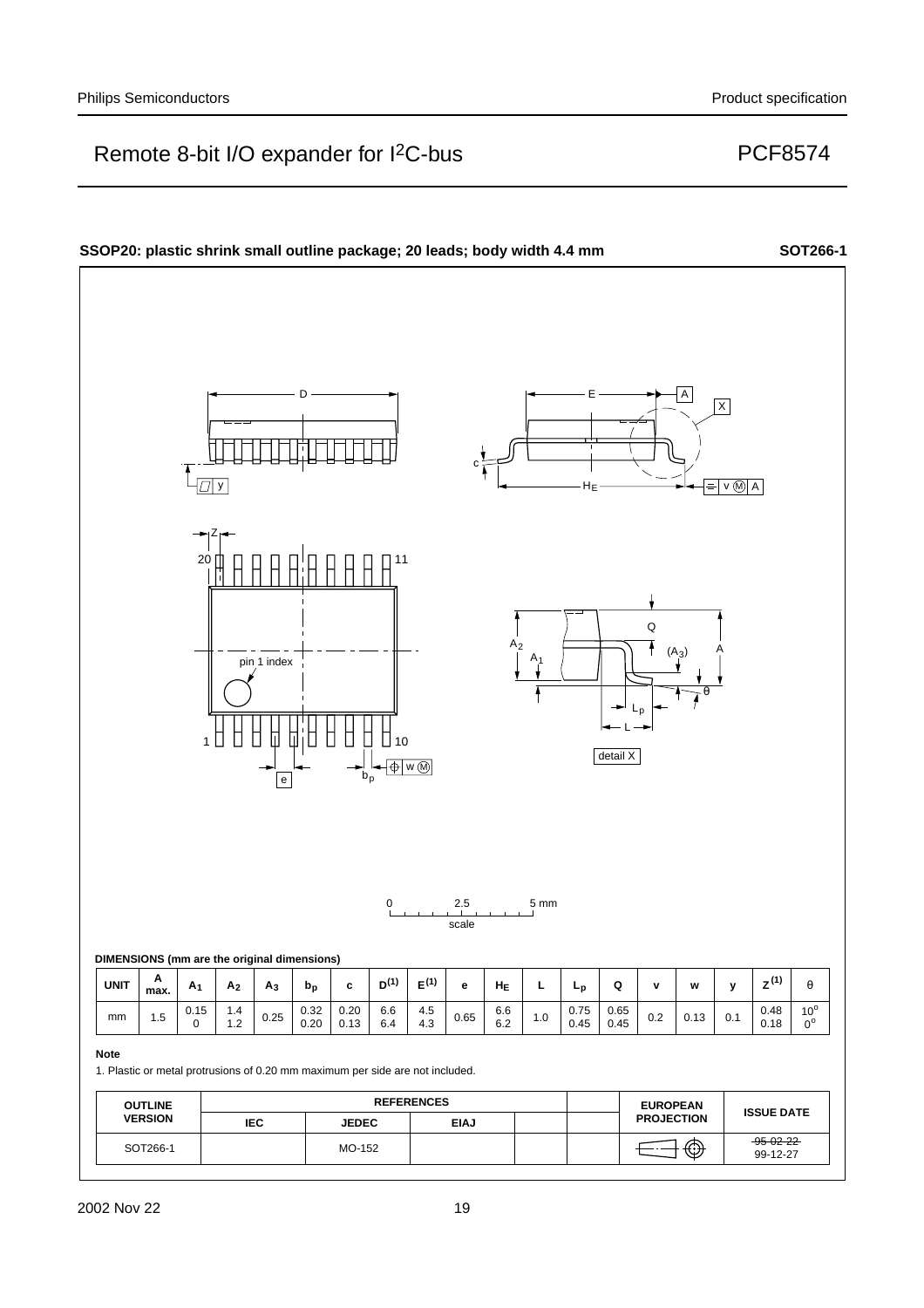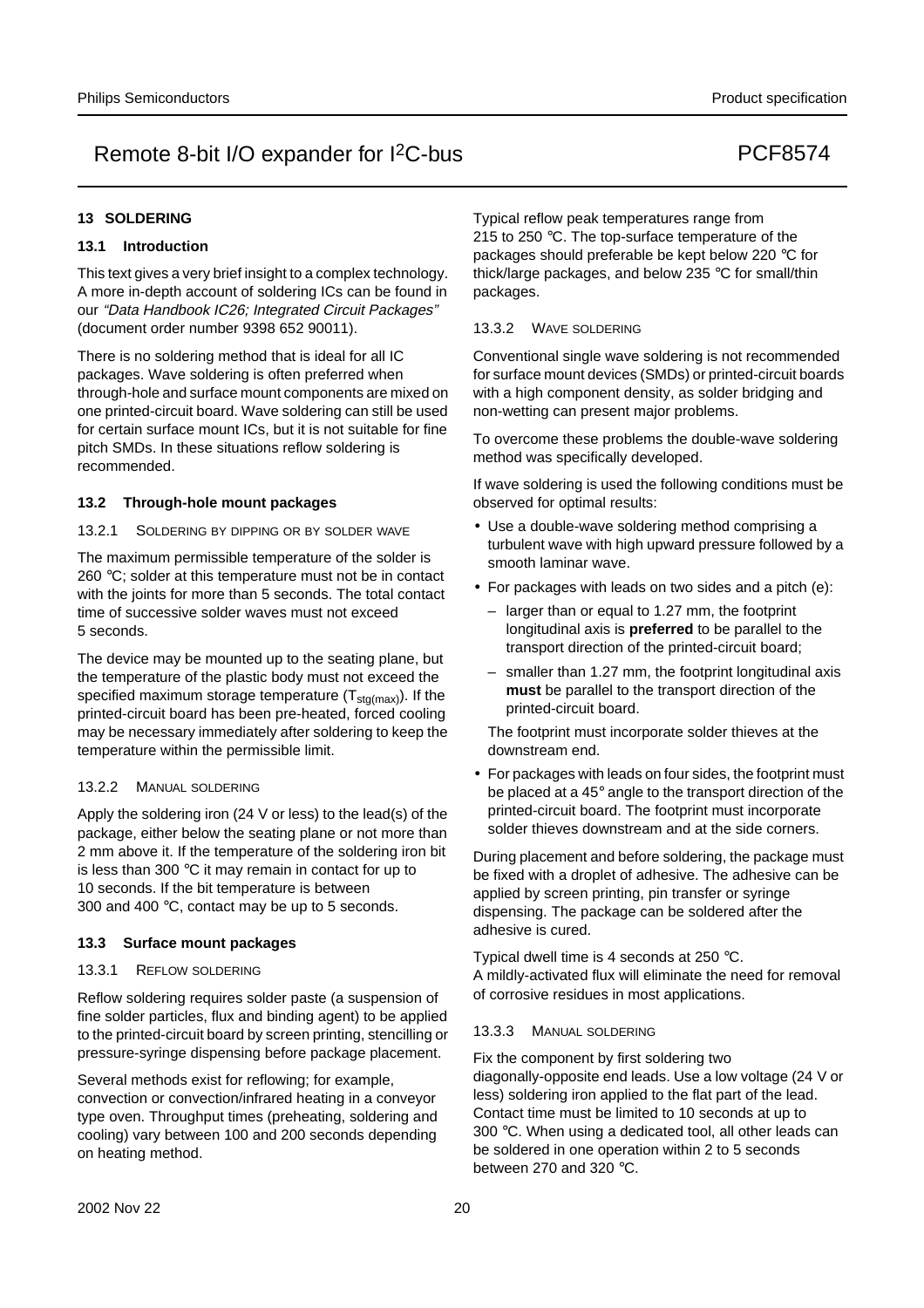#### **13 SOLDERING**

#### **13.1 Introduction**

This text gives a very brief insight to a complex technology. A more in-depth account of soldering ICs can be found in our "Data Handbook IC26; Integrated Circuit Packages" (document order number 9398 652 90011).

There is no soldering method that is ideal for all IC packages. Wave soldering is often preferred when through-hole and surface mount components are mixed on one printed-circuit board. Wave soldering can still be used for certain surface mount ICs, but it is not suitable for fine pitch SMDs. In these situations reflow soldering is recommended.

#### **13.2 Through-hole mount packages**

#### 13.2.1 SOLDERING BY DIPPING OR BY SOLDER WAVE

The maximum permissible temperature of the solder is 260 °C; solder at this temperature must not be in contact with the joints for more than 5 seconds. The total contact time of successive solder waves must not exceed 5 seconds.

The device may be mounted up to the seating plane, but the temperature of the plastic body must not exceed the specified maximum storage temperature  $(T<sub>sta(max)</sub>)$ . If the printed-circuit board has been pre-heated, forced cooling may be necessary immediately after soldering to keep the temperature within the permissible limit.

#### 13.2.2 MANUAL SOLDERING

Apply the soldering iron (24 V or less) to the lead(s) of the package, either below the seating plane or not more than 2 mm above it. If the temperature of the soldering iron bit is less than 300 °C it may remain in contact for up to 10 seconds. If the bit temperature is between 300 and 400 °C, contact may be up to 5 seconds.

#### **13.3 Surface mount packages**

#### 13.3.1 REFLOW SOLDERING

Reflow soldering requires solder paste (a suspension of fine solder particles, flux and binding agent) to be applied to the printed-circuit board by screen printing, stencilling or pressure-syringe dispensing before package placement.

Several methods exist for reflowing; for example, convection or convection/infrared heating in a conveyor type oven. Throughput times (preheating, soldering and cooling) vary between 100 and 200 seconds depending on heating method.

Typical reflow peak temperatures range from 215 to 250 °C. The top-surface temperature of the packages should preferable be kept below 220 °C for thick/large packages, and below 235 °C for small/thin packages.

#### 13.3.2 WAVE SOLDERING

Conventional single wave soldering is not recommended for surface mount devices (SMDs) or printed-circuit boards with a high component density, as solder bridging and non-wetting can present major problems.

To overcome these problems the double-wave soldering method was specifically developed.

If wave soldering is used the following conditions must be observed for optimal results:

- Use a double-wave soldering method comprising a turbulent wave with high upward pressure followed by a smooth laminar wave.
- For packages with leads on two sides and a pitch (e):
	- larger than or equal to 1.27 mm, the footprint longitudinal axis is **preferred** to be parallel to the transport direction of the printed-circuit board;
	- smaller than 1.27 mm, the footprint longitudinal axis **must** be parallel to the transport direction of the printed-circuit board.

The footprint must incorporate solder thieves at the downstream end.

• For packages with leads on four sides, the footprint must be placed at a 45° angle to the transport direction of the printed-circuit board. The footprint must incorporate solder thieves downstream and at the side corners.

During placement and before soldering, the package must be fixed with a droplet of adhesive. The adhesive can be applied by screen printing, pin transfer or syringe dispensing. The package can be soldered after the adhesive is cured.

Typical dwell time is 4 seconds at 250 °C. A mildly-activated flux will eliminate the need for removal of corrosive residues in most applications.

#### 13.3.3 MANUAL SOLDERING

Fix the component by first soldering two diagonally-opposite end leads. Use a low voltage (24 V or less) soldering iron applied to the flat part of the lead. Contact time must be limited to 10 seconds at up to 300 °C. When using a dedicated tool, all other leads can be soldered in one operation within 2 to 5 seconds between 270 and 320 °C.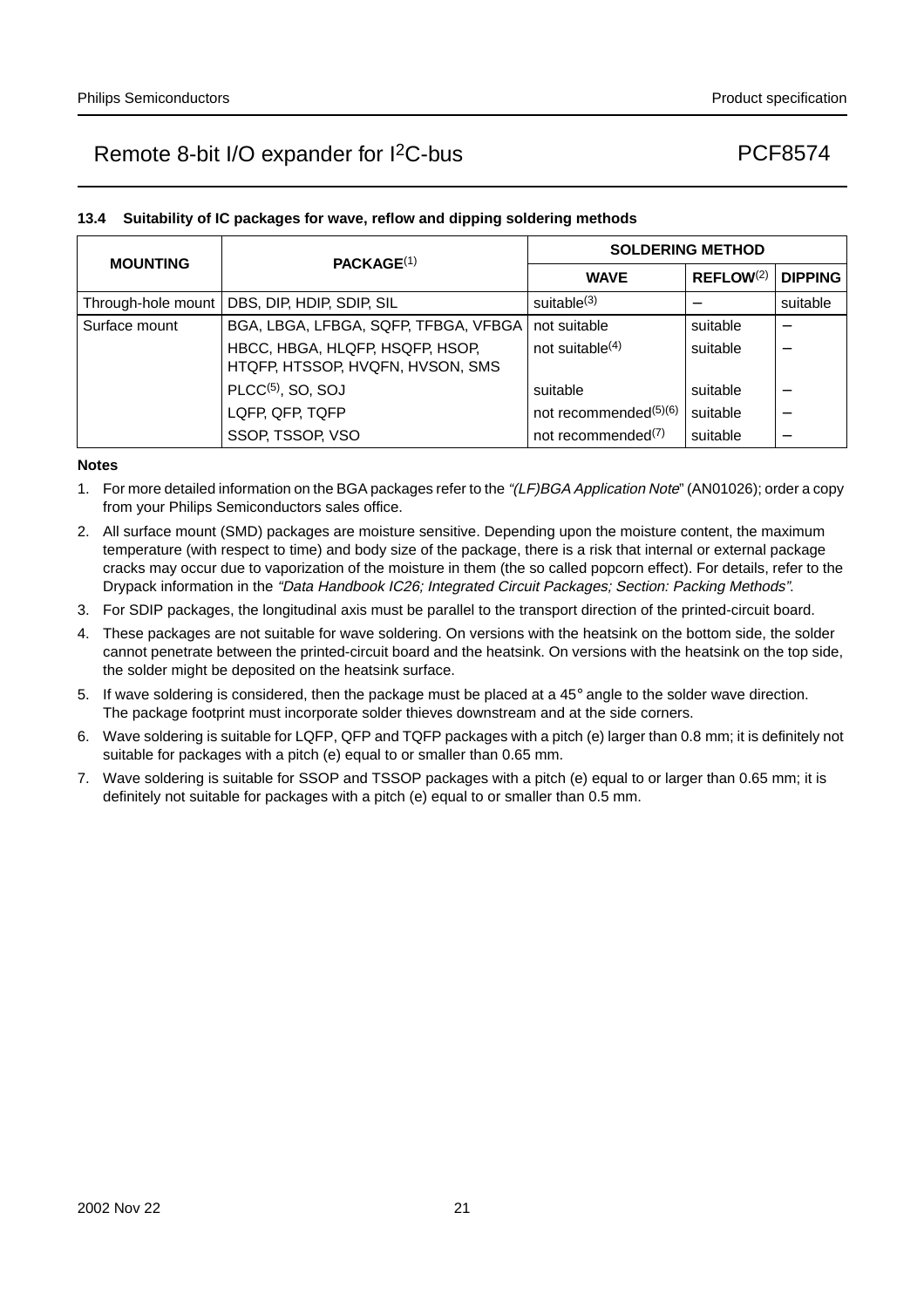## **13.4 Suitability of IC packages for wave, reflow and dipping soldering methods**

| <b>MOUNTING</b>    | PACKAGE <sup>(1)</sup>                                              | <b>SOLDERING METHOD</b>           |                       |                          |  |  |
|--------------------|---------------------------------------------------------------------|-----------------------------------|-----------------------|--------------------------|--|--|
|                    |                                                                     | <b>WAVE</b>                       | REFLOW <sup>(2)</sup> | <b>DIPPING</b>           |  |  |
| Through-hole mount | DBS, DIP, HDIP, SDIP, SIL                                           | suitable <sup>(3)</sup>           |                       | suitable                 |  |  |
| Surface mount      | BGA, LBGA, LFBGA, SQFP, TFBGA, VFBGA                                | not suitable                      | suitable              |                          |  |  |
|                    | HBCC, HBGA, HLQFP, HSQFP, HSOP,<br>HTQFP, HTSSOP, HVQFN, HVSON, SMS | not suitable $(4)$                | suitable              |                          |  |  |
|                    | $PLCC(5)$ , SO, SOJ                                                 | suitable                          | suitable              |                          |  |  |
|                    | LQFP, QFP, TQFP                                                     | not recommended <sup>(5)(6)</sup> | suitable              | $\overline{\phantom{0}}$ |  |  |
|                    | SSOP, TSSOP, VSO                                                    | not recommended <sup>(7)</sup>    | suitable              |                          |  |  |

#### **Notes**

- 1. For more detailed information on the BGA packages refer to the "(LF)BGA Application Note" (AN01026); order a copy from your Philips Semiconductors sales office.
- 2. All surface mount (SMD) packages are moisture sensitive. Depending upon the moisture content, the maximum temperature (with respect to time) and body size of the package, there is a risk that internal or external package cracks may occur due to vaporization of the moisture in them (the so called popcorn effect). For details, refer to the Drypack information in the "Data Handbook IC26; Integrated Circuit Packages; Section: Packing Methods".
- 3. For SDIP packages, the longitudinal axis must be parallel to the transport direction of the printed-circuit board.
- 4. These packages are not suitable for wave soldering. On versions with the heatsink on the bottom side, the solder cannot penetrate between the printed-circuit board and the heatsink. On versions with the heatsink on the top side, the solder might be deposited on the heatsink surface.
- 5. If wave soldering is considered, then the package must be placed at a  $45^\circ$  angle to the solder wave direction. The package footprint must incorporate solder thieves downstream and at the side corners.
- 6. Wave soldering is suitable for LQFP, QFP and TQFP packages with a pitch (e) larger than 0.8 mm; it is definitely not suitable for packages with a pitch (e) equal to or smaller than 0.65 mm.
- 7. Wave soldering is suitable for SSOP and TSSOP packages with a pitch (e) equal to or larger than 0.65 mm; it is definitely not suitable for packages with a pitch (e) equal to or smaller than 0.5 mm.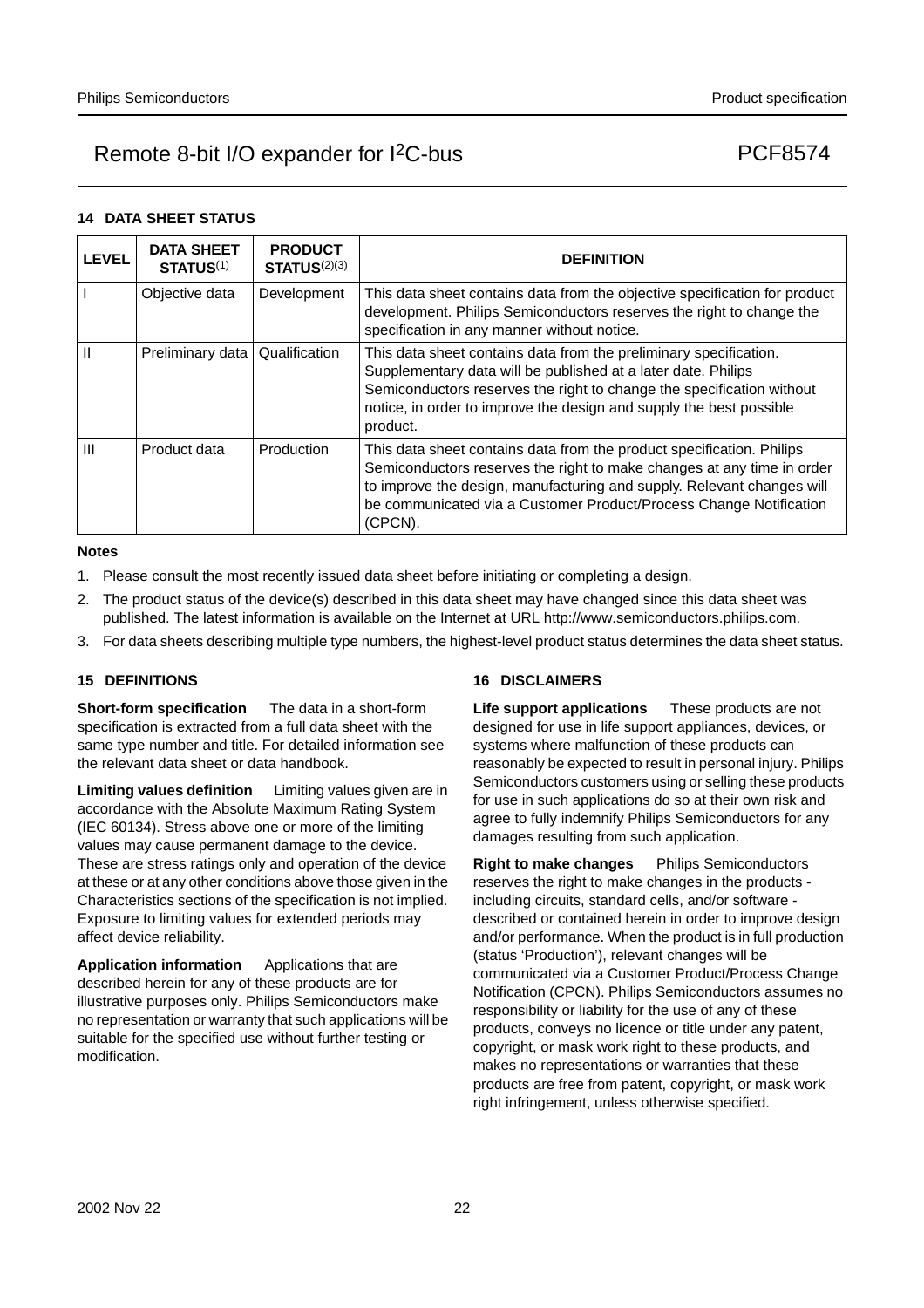#### **14 DATA SHEET STATUS**

| <b>LEVEL</b>   | <b>DATA SHEET</b><br><b>STATUS(1)</b> | <b>PRODUCT</b><br><b>STATUS(2)(3)</b> | <b>DEFINITION</b>                                                                                                                                                                                                                                                                                          |
|----------------|---------------------------------------|---------------------------------------|------------------------------------------------------------------------------------------------------------------------------------------------------------------------------------------------------------------------------------------------------------------------------------------------------------|
|                | Objective data                        | Development                           | This data sheet contains data from the objective specification for product<br>development. Philips Semiconductors reserves the right to change the<br>specification in any manner without notice.                                                                                                          |
| Ш              | Preliminary data                      | Qualification                         | This data sheet contains data from the preliminary specification.<br>Supplementary data will be published at a later date. Philips<br>Semiconductors reserves the right to change the specification without<br>notice, in order to improve the design and supply the best possible<br>product.             |
| $\mathbf{III}$ | Product data                          | Production                            | This data sheet contains data from the product specification. Philips<br>Semiconductors reserves the right to make changes at any time in order<br>to improve the design, manufacturing and supply. Relevant changes will<br>be communicated via a Customer Product/Process Change Notification<br>(CPCN). |

#### **Notes**

- 1. Please consult the most recently issued data sheet before initiating or completing a design.
- 2. The product status of the device(s) described in this data sheet may have changed since this data sheet was published. The latest information is available on the Internet at URL http://www.semiconductors.philips.com.
- 3. For data sheets describing multiple type numbers, the highest-level product status determines the data sheet status.

## **15 DEFINITIONS**

**Short-form specification** — The data in a short-form specification is extracted from a full data sheet with the same type number and title. For detailed information see the relevant data sheet or data handbook.

**Limiting values definition** - Limiting values given are in accordance with the Absolute Maximum Rating System (IEC 60134). Stress above one or more of the limiting values may cause permanent damage to the device. These are stress ratings only and operation of the device at these or at any other conditions above those given in the Characteristics sections of the specification is not implied. Exposure to limiting values for extended periods may affect device reliability.

Application information Applications that are described herein for any of these products are for illustrative purposes only. Philips Semiconductors make no representation or warranty that such applications will be suitable for the specified use without further testing or modification.

## **16 DISCLAIMERS**

**Life support applications** — These products are not designed for use in life support appliances, devices, or systems where malfunction of these products can reasonably be expected to result in personal injury. Philips Semiconductors customers using or selling these products for use in such applications do so at their own risk and agree to fully indemnify Philips Semiconductors for any damages resulting from such application.

**Right to make changes** - Philips Semiconductors reserves the right to make changes in the products including circuits, standard cells, and/or software described or contained herein in order to improve design and/or performance. When the product is in full production (status 'Production'), relevant changes will be communicated via a Customer Product/Process Change Notification (CPCN). Philips Semiconductors assumes no responsibility or liability for the use of any of these products, conveys no licence or title under any patent, copyright, or mask work right to these products, and makes no representations or warranties that these products are free from patent, copyright, or mask work right infringement, unless otherwise specified.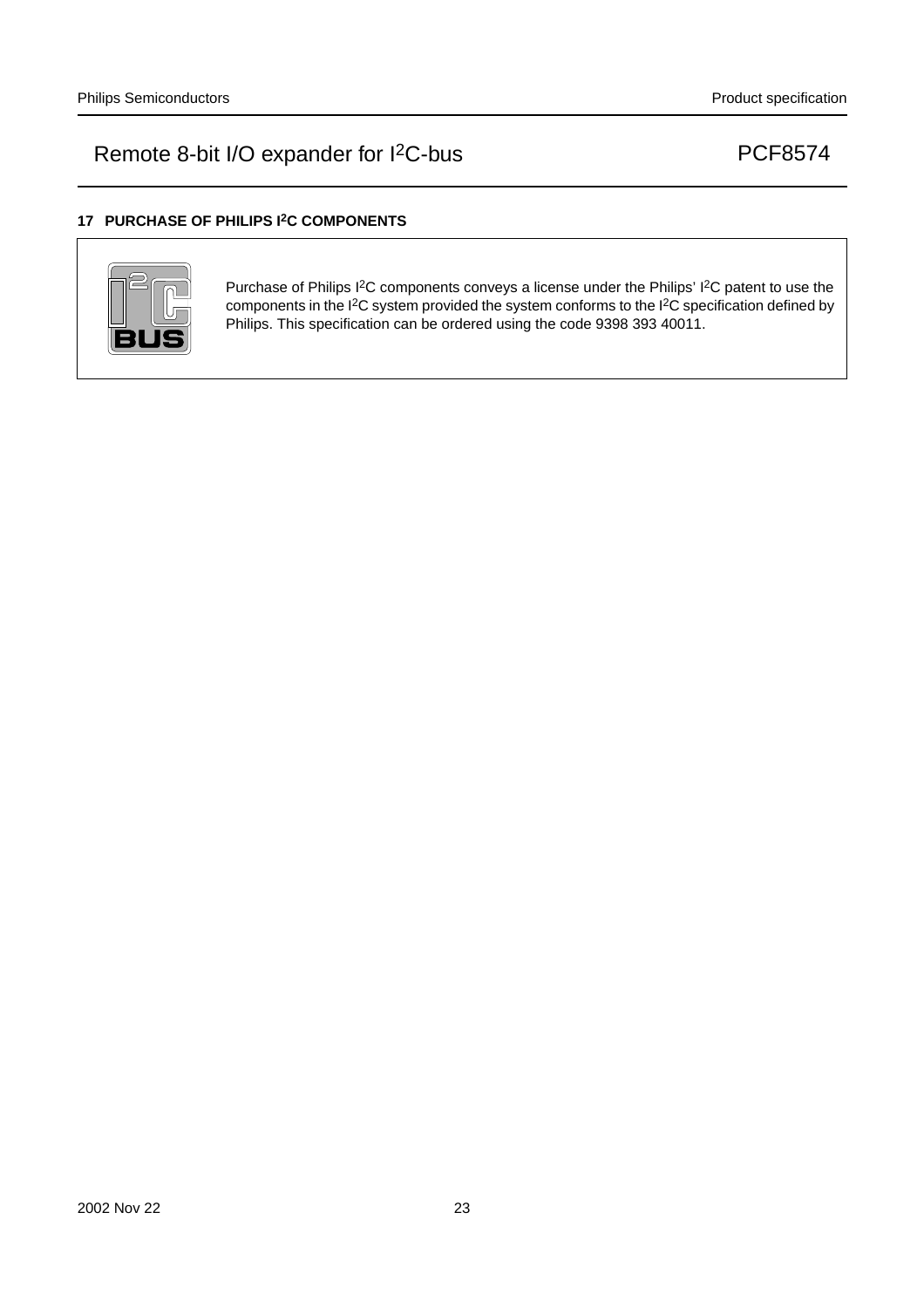## **17 PURCHASE OF PHILIPS I2C COMPONENTS**



Purchase of Philips I<sup>2</sup>C components conveys a license under the Philips' I<sup>2</sup>C patent to use the components in the I2C system provided the system conforms to the I2C specification defined by Philips. This specification can be ordered using the code 9398 393 40011.